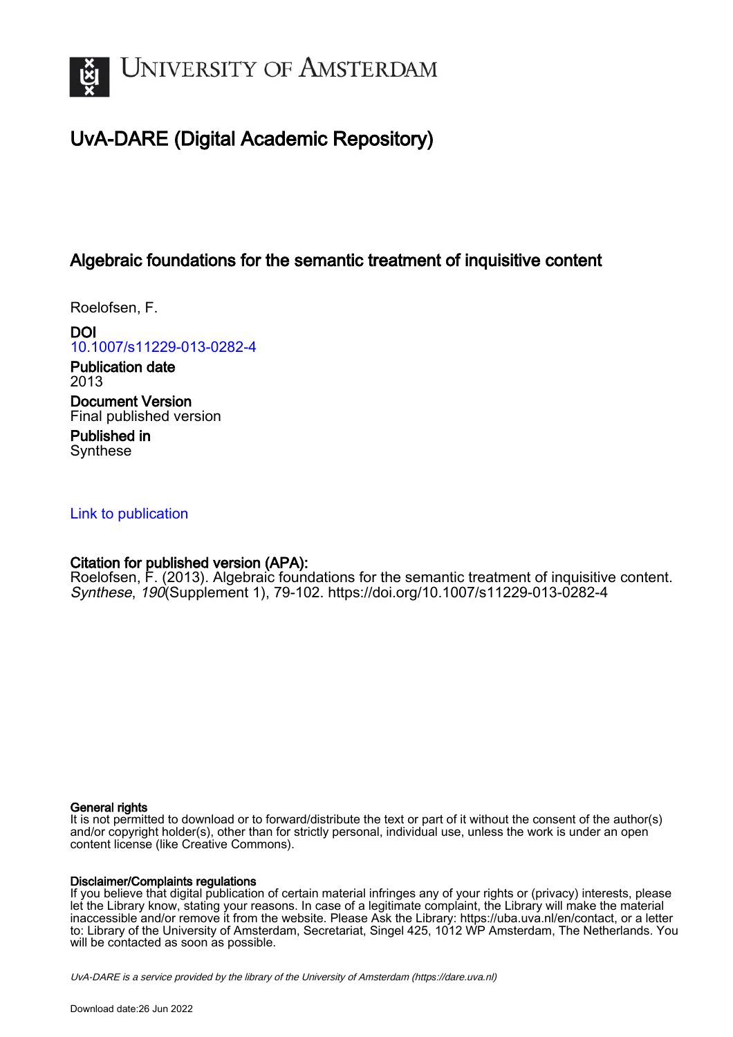

# UvA-DARE (Digital Academic Repository)

# Algebraic foundations for the semantic treatment of inquisitive content

Roelofsen, F.

DOI [10.1007/s11229-013-0282-4](https://doi.org/10.1007/s11229-013-0282-4)

Publication date 2013 Document Version Final published version Published in

Synthese

## [Link to publication](https://dare.uva.nl/personal/pure/en/publications/algebraic-foundations-for-the-semantic-treatment-of-inquisitive-content(2290d0c7-b5ac-4922-b6c3-69629586617d).html)

## Citation for published version (APA):

Roelofsen, F. (2013). Algebraic foundations for the semantic treatment of inquisitive content. Synthese, 190(Supplement 1), 79-102.<https://doi.org/10.1007/s11229-013-0282-4>

### General rights

It is not permitted to download or to forward/distribute the text or part of it without the consent of the author(s) and/or copyright holder(s), other than for strictly personal, individual use, unless the work is under an open content license (like Creative Commons).

### Disclaimer/Complaints regulations

If you believe that digital publication of certain material infringes any of your rights or (privacy) interests, please let the Library know, stating your reasons. In case of a legitimate complaint, the Library will make the material inaccessible and/or remove it from the website. Please Ask the Library: https://uba.uva.nl/en/contact, or a letter to: Library of the University of Amsterdam, Secretariat, Singel 425, 1012 WP Amsterdam, The Netherlands. You will be contacted as soon as possible.

UvA-DARE is a service provided by the library of the University of Amsterdam (http*s*://dare.uva.nl)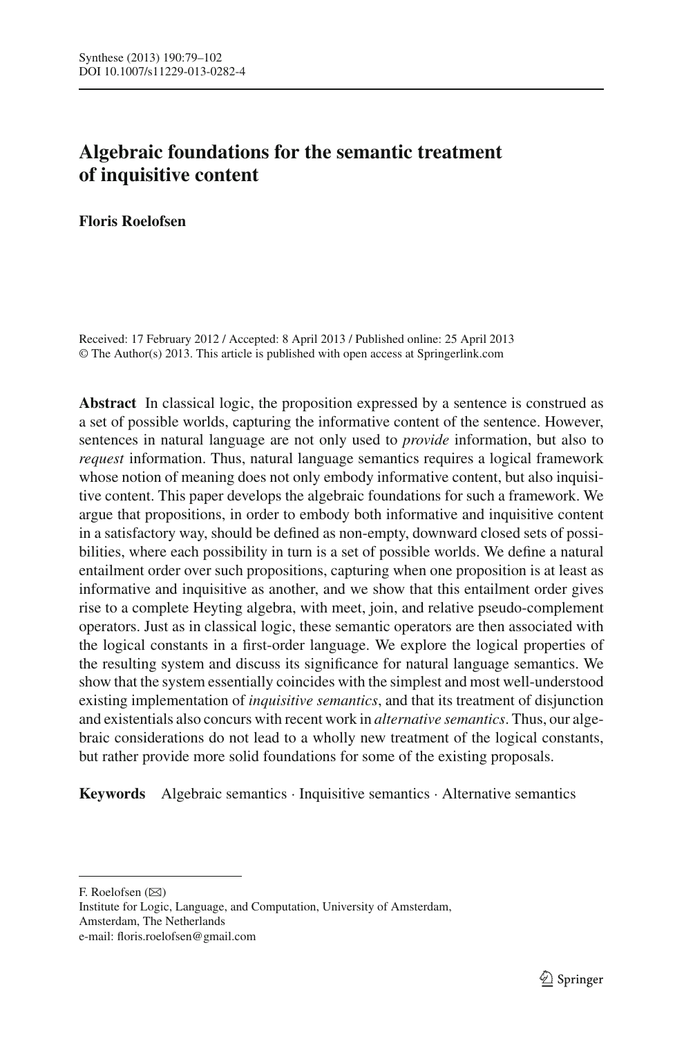# **Algebraic foundations for the semantic treatment of inquisitive content**

**Floris Roelofsen**

Received: 17 February 2012 / Accepted: 8 April 2013 / Published online: 25 April 2013 © The Author(s) 2013. This article is published with open access at Springerlink.com

**Abstract** In classical logic, the proposition expressed by a sentence is construed as a set of possible worlds, capturing the informative content of the sentence. However, sentences in natural language are not only used to *provide* information, but also to *request* information. Thus, natural language semantics requires a logical framework whose notion of meaning does not only embody informative content, but also inquisitive content. This paper develops the algebraic foundations for such a framework. We argue that propositions, in order to embody both informative and inquisitive content in a satisfactory way, should be defined as non-empty, downward closed sets of possibilities, where each possibility in turn is a set of possible worlds. We define a natural entailment order over such propositions, capturing when one proposition is at least as informative and inquisitive as another, and we show that this entailment order gives rise to a complete Heyting algebra, with meet, join, and relative pseudo-complement operators. Just as in classical logic, these semantic operators are then associated with the logical constants in a first-order language. We explore the logical properties of the resulting system and discuss its significance for natural language semantics. We show that the system essentially coincides with the simplest and most well-understood existing implementation of *inquisitive semantics*, and that its treatment of disjunction and existentials also concurs with recent work in *alternative semantics*. Thus, our algebraic considerations do not lead to a wholly new treatment of the logical constants, but rather provide more solid foundations for some of the existing proposals.

**Keywords** Algebraic semantics · Inquisitive semantics · Alternative semantics

e-mail: floris.roelofsen@gmail.com

F. Roelofsen (⊠)

Institute for Logic, Language, and Computation, University of Amsterdam, Amsterdam, The Netherlands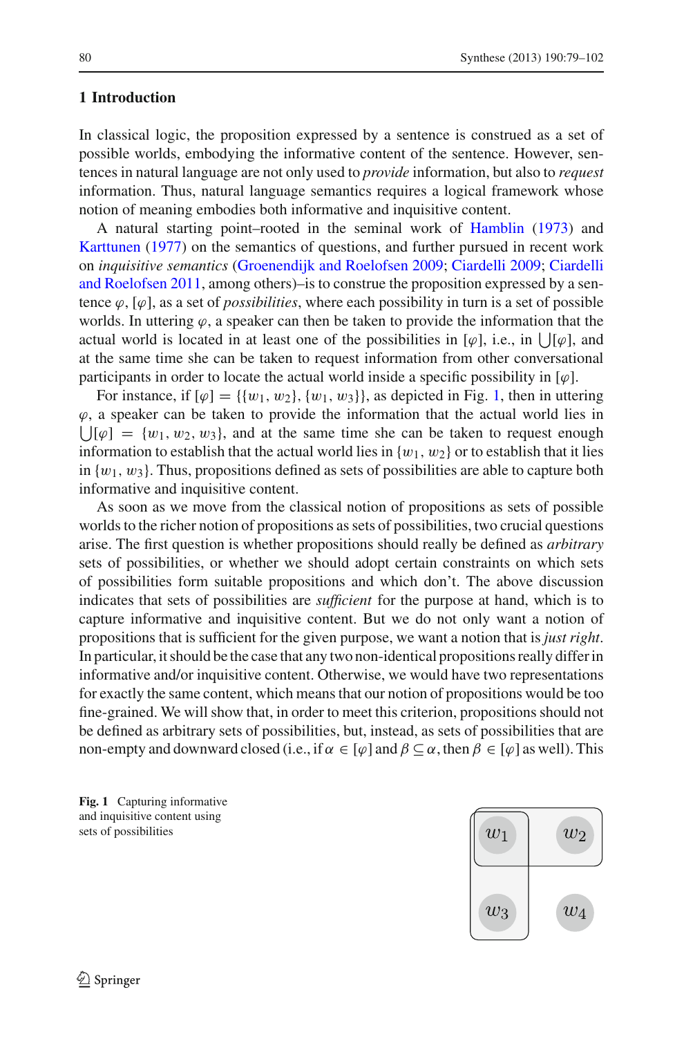#### **1 Introduction**

In classical logic, the proposition expressed by a sentence is construed as a set of possible worlds, embodying the informative content of the sentence. However, sentences in natural language are not only used to *provide* information, but also to *request* information. Thus, natural language semantics requires a logical framework whose notion of meaning embodies both informative and inquisitive content.

A natural starting point–rooted in the seminal work of [Hamblin](#page-24-0) [\(1973](#page-24-0)) and [Karttunen](#page-24-1) [\(1977\)](#page-24-1) on the semantics of questions, and further pursued in recent work on *inquisitive semantics* [\(Groenendijk and Roelofsen 2009](#page-24-2)[;](#page-24-3) [Ciardelli 2009;](#page-23-0) Ciardelli and Roelofsen [2011,](#page-24-3) among others)–is to construe the proposition expressed by a sentence  $\varphi$ ,  $[\varphi]$ , as a set of *possibilities*, where each possibility in turn is a set of possible worlds. In uttering  $\varphi$ , a speaker can then be taken to provide the information that the actual world is located in at least one of the possibilities in [ $\varphi$ ], i.e., in  $\bigcup[\varphi]$ , and at the same time she can be taken to request information from other conversational participants in order to locate the actual world inside a specific possibility in  $\lbrack \varphi \rbrack$ .

For instance, if  $\lbrack \varphi \rbrack = \lbrack \{w_1, w_2\}, \{w_1, w_3\} \rbrack$  $\lbrack \varphi \rbrack = \lbrack \{w_1, w_2\}, \{w_1, w_3\} \rbrack$  $\lbrack \varphi \rbrack = \lbrack \{w_1, w_2\}, \{w_1, w_3\} \rbrack$ , as depicted in Fig. 1, then in uttering  $\varphi$ , a speaker can be taken to provide the information that the actual world lies in  $\bigcup[\varphi] = \{w_1, w_2, w_3\}$ , and at the same time she can be taken to request enough information to establish that the actual world lies in  $\{w_1, w_2\}$  or to establish that it lies in  $\{w_1, w_3\}$ . Thus, propositions defined as sets of possibilities are able to capture both informative and inquisitive content.

As soon as we move from the classical notion of propositions as sets of possible worlds to the richer notion of propositions as sets of possibilities, two crucial questions arise. The first question is whether propositions should really be defined as *arbitrary* sets of possibilities, or whether we should adopt certain constraints on which sets of possibilities form suitable propositions and which don't. The above discussion indicates that sets of possibilities are *sufficient* for the purpose at hand, which is to capture informative and inquisitive content. But we do not only want a notion of propositions that is sufficient for the given purpose, we want a notion that is *just right*. In particular, it should be the case that any two non-identical propositions really differ in informative and/or inquisitive content. Otherwise, we would have two representations for exactly the same content, which means that our notion of propositions would be too fine-grained. We will show that, in order to meet this criterion, propositions should not be defined as arbitrary sets of possibilities, but, instead, as sets of possibilities that are non-empty and downward closed (i.e., if  $\alpha \in [\varphi]$  and  $\beta \subseteq \alpha$ , then  $\beta \in [\varphi]$  as well). This

<span id="page-2-0"></span>

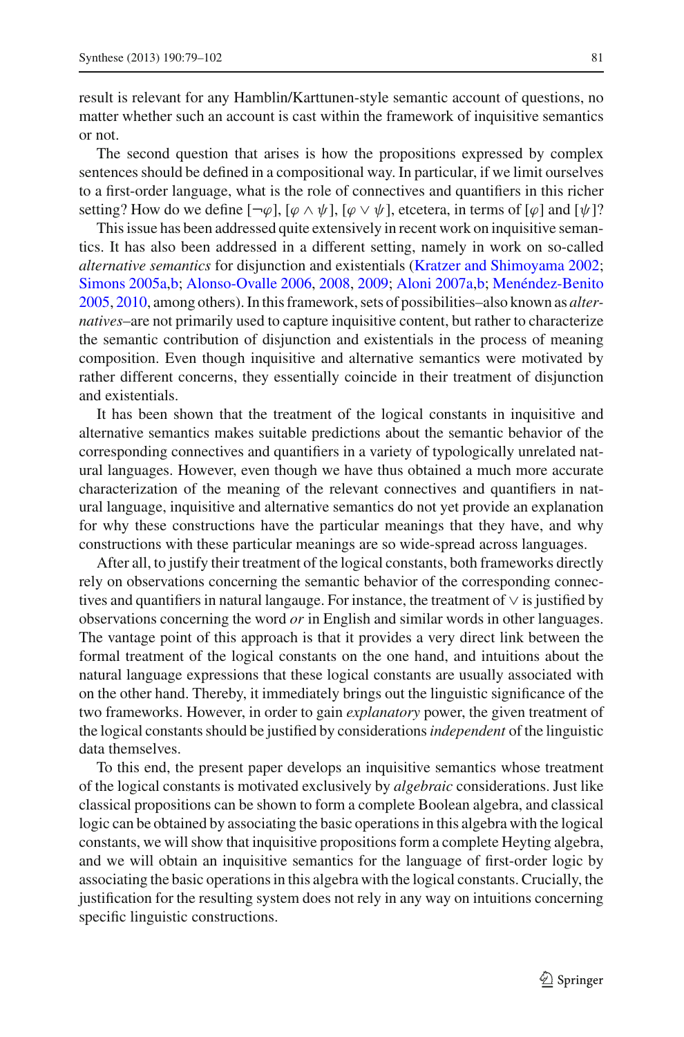result is relevant for any Hamblin/Karttunen-style semantic account of questions, no matter whether such an account is cast within the framework of inquisitive semantics or not.

The second question that arises is how the propositions expressed by complex sentences should be defined in a compositional way. In particular, if we limit ourselves to a first-order language, what is the role of connectives and quantifiers in this richer setting? How do we define  $[\neg \varphi]$ ,  $[\varphi \wedge \psi]$ ,  $[\varphi \vee \psi]$ , etcetera, in terms of  $[\varphi]$  and  $[\psi]$ ?

This issue has been addressed quite extensively in recent work on inquisitive semantics. It has also been addressed in a different setting, namely in work on so-called *alternative semantics* for disjunction and existentials [\(Kratzer and Shimoyama 2002](#page-24-4); [Simons 2005a](#page-24-5)[,b;](#page-24-6) [Alonso-Ovalle 2006](#page-23-1), [2008](#page-23-2), [2009;](#page-23-3) [Aloni 2007a](#page-23-4)[,b;](#page-23-5) [Menéndez-Benito](#page-24-7) [2005,](#page-24-7) [2010,](#page-24-8) among others). In this framework, sets of possibilities–also known as *alternatives*–are not primarily used to capture inquisitive content, but rather to characterize the semantic contribution of disjunction and existentials in the process of meaning composition. Even though inquisitive and alternative semantics were motivated by rather different concerns, they essentially coincide in their treatment of disjunction and existentials.

It has been shown that the treatment of the logical constants in inquisitive and alternative semantics makes suitable predictions about the semantic behavior of the corresponding connectives and quantifiers in a variety of typologically unrelated natural languages. However, even though we have thus obtained a much more accurate characterization of the meaning of the relevant connectives and quantifiers in natural language, inquisitive and alternative semantics do not yet provide an explanation for why these constructions have the particular meanings that they have, and why constructions with these particular meanings are so wide-spread across languages.

After all, to justify their treatment of the logical constants, both frameworks directly rely on observations concerning the semantic behavior of the corresponding connectives and quantifiers in natural langauge. For instance, the treatment of ∨ is justified by observations concerning the word *or* in English and similar words in other languages. The vantage point of this approach is that it provides a very direct link between the formal treatment of the logical constants on the one hand, and intuitions about the natural language expressions that these logical constants are usually associated with on the other hand. Thereby, it immediately brings out the linguistic significance of the two frameworks. However, in order to gain *explanatory* power, the given treatment of the logical constants should be justified by considerations*independent* of the linguistic data themselves.

To this end, the present paper develops an inquisitive semantics whose treatment of the logical constants is motivated exclusively by *algebraic* considerations. Just like classical propositions can be shown to form a complete Boolean algebra, and classical logic can be obtained by associating the basic operations in this algebra with the logical constants, we will show that inquisitive propositions form a complete Heyting algebra, and we will obtain an inquisitive semantics for the language of first-order logic by associating the basic operations in this algebra with the logical constants. Crucially, the justification for the resulting system does not rely in any way on intuitions concerning specific linguistic constructions.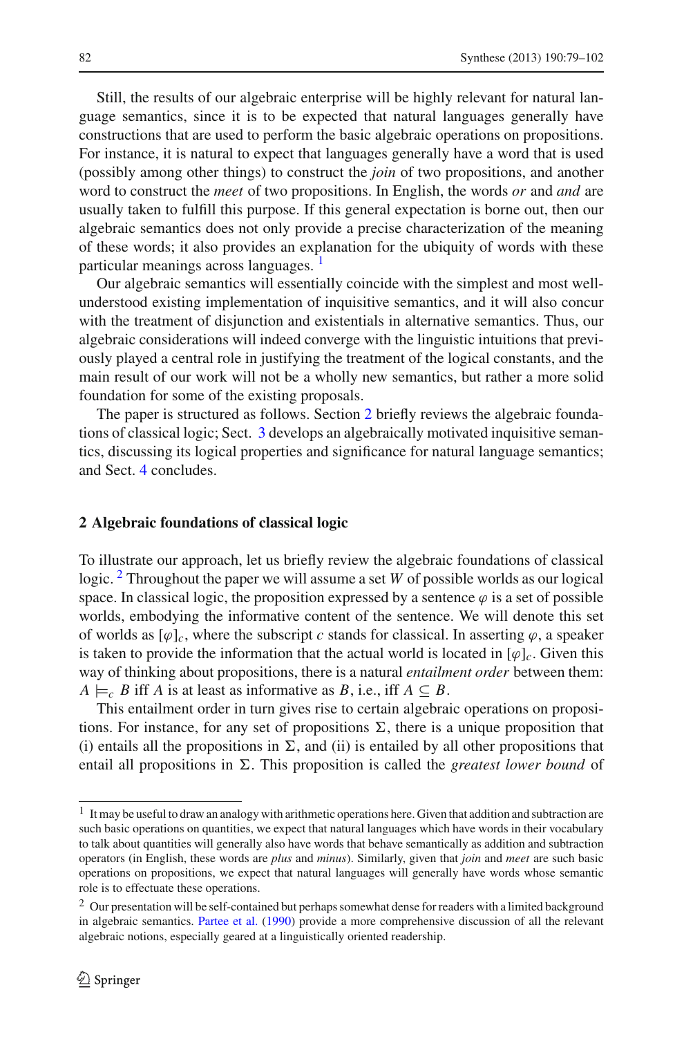Still, the results of our algebraic enterprise will be highly relevant for natural language semantics, since it is to be expected that natural languages generally have constructions that are used to perform the basic algebraic operations on propositions. For instance, it is natural to expect that languages generally have a word that is used (possibly among other things) to construct the *join* of two propositions, and another word to construct the *meet* of two propositions. In English, the words *or* and *and* are usually taken to fulfill this purpose. If this general expectation is borne out, then our algebraic semantics does not only provide a precise characterization of the meaning of these words; it also provides an explanation for the ubiquity of words with these particular meanings across languages.<sup>[1](#page-4-0)</sup>

Our algebraic semantics will essentially coincide with the simplest and most wellunderstood existing implementation of inquisitive semantics, and it will also concur with the treatment of disjunction and existentials in alternative semantics. Thus, our algebraic considerations will indeed converge with the linguistic intuitions that previously played a central role in justifying the treatment of the logical constants, and the main result of our work will not be a wholly new semantics, but rather a more solid foundation for some of the existing proposals.

The paper is structured as follows. Section [2](#page-4-1) briefly reviews the algebraic foundations of classical logic; Sect. [3](#page-5-0) develops an algebraically motivated inquisitive semantics, discussing its logical properties and significance for natural language semantics; and Sect. [4](#page-22-0) concludes.

#### <span id="page-4-1"></span>**2 Algebraic foundations of classical logic**

To illustrate our approach, let us briefly review the algebraic foundations of classical logic. [2](#page-4-2) Throughout the paper we will assume a set *W* of possible worlds as our logical space. In classical logic, the proposition expressed by a sentence  $\varphi$  is a set of possible worlds, embodying the informative content of the sentence. We will denote this set of worlds as  $[\varphi]_c$ , where the subscript *c* stands for classical. In asserting  $\varphi$ , a speaker is taken to provide the information that the actual world is located in  $[\varphi]_c$ . Given this way of thinking about propositions, there is a natural *entailment order* between them:  $A \models_c B$  iff *A* is at least as informative as *B*, i.e., iff  $A \subseteq B$ .

This entailment order in turn gives rise to certain algebraic operations on propositions. For instance, for any set of propositions  $\Sigma$ , there is a unique proposition that (i) entails all the propositions in  $\Sigma$ , and (ii) is entailed by all other propositions that entail all propositions in  $\Sigma$ . This proposition is called the *greatest lower bound* of

<span id="page-4-0"></span> $1$  It may be useful to draw an analogy with arithmetic operations here. Given that addition and subtraction are such basic operations on quantities, we expect that natural languages which have words in their vocabulary to talk about quantities will generally also have words that behave semantically as addition and subtraction operators (in English, these words are *plus* and *minus*). Similarly, given that *join* and *meet* are such basic operations on propositions, we expect that natural languages will generally have words whose semantic role is to effectuate these operations.

<span id="page-4-2"></span><sup>&</sup>lt;sup>2</sup> Our presentation will be self-contained but perhaps somewhat dense for readers with a limited background in algebraic semantics. [Partee et al.](#page-24-9) [\(1990](#page-24-9)) provide a more comprehensive discussion of all the relevant algebraic notions, especially geared at a linguistically oriented readership.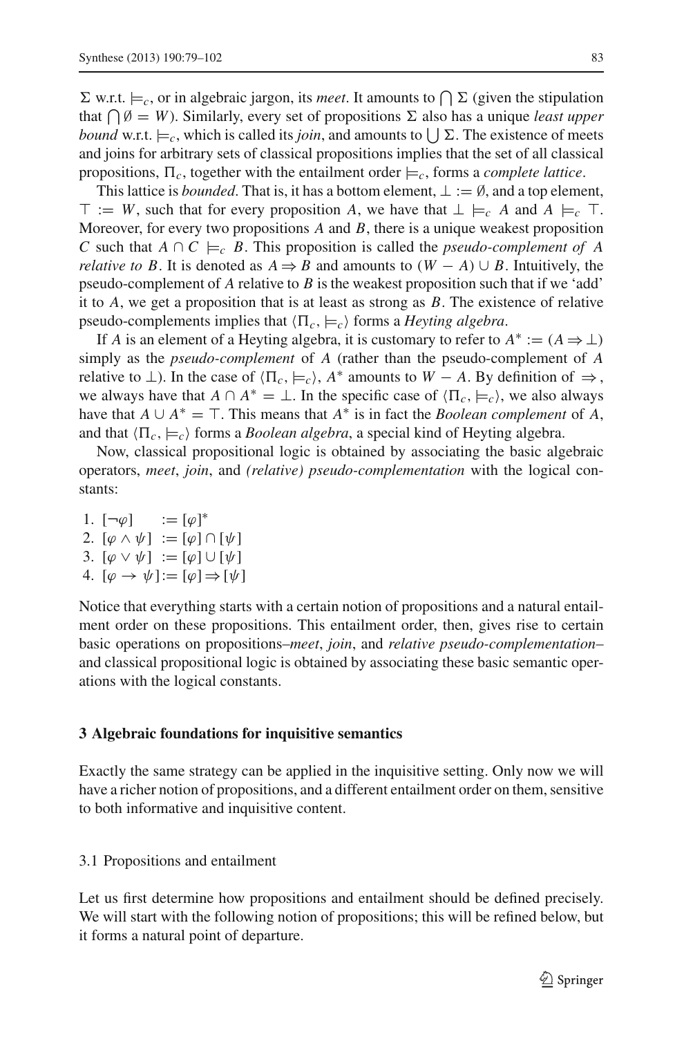$\Sigma$  w.r.t.  $\models_c$ , or in algebraic jargon, its *meet*. It amounts to  $\bigcap \Sigma$  (given the stipulation that  $\bigcap \emptyset = W$ ). Similarly, every set of propositions  $\Sigma$  also has a unique *least upper bound* w.r.t.  $\models_c$ , which is called its *join*, and amounts to  $\bigcup \Sigma$ . The existence of meets and joins for arbitrary sets of classical propositions implies that the set of all classical propositions,  $\Pi_c$ , together with the entailment order  $\models_c$ , forms a *complete lattice*.

This lattice is *bounded*. That is, it has a bottom element,  $\bot := \emptyset$ , and a top element,  $\top := W$ , such that for every proposition *A*, we have that  $\bot \models_c A$  and  $A \models_c \top$ . Moreover, for every two propositions *A* and *B*, there is a unique weakest proposition *C* such that  $A \cap C \models_c B$ . This proposition is called the *pseudo-complement of* A *relative to B*. It is denoted as  $A \Rightarrow B$  and amounts to  $(W - A) \cup B$ . Intuitively, the pseudo-complement of *A* relative to *B* is the weakest proposition such that if we 'add' it to *A*, we get a proposition that is at least as strong as *B*. The existence of relative pseudo-complements implies that  $\langle \Pi_c, \models_c \rangle$  forms a *Heyting algebra*.

If *A* is an element of a Heyting algebra, it is customary to refer to  $A^* := (A \Rightarrow \perp)$ simply as the *pseudo-complement* of *A* (rather than the pseudo-complement of *A* relative to ⊥). In the case of  $\langle \Pi_c, \models_c \rangle$ ,  $A^*$  amounts to  $W - A$ . By definition of  $\Rightarrow$ , we always have that  $A \cap A^* = \bot$ . In the specific case of  $\langle \Pi_c, \models_c \rangle$ , we also always have that  $A \cup A^* = \top$ . This means that  $A^*$  is in fact the *Boolean complement* of A, and that  $\langle \Pi_c, \models_c \rangle$  forms a *Boolean algebra*, a special kind of Heyting algebra.

Now, classical propositional logic is obtained by associating the basic algebraic operators, *meet*, *join*, and *(relative) pseudo-complementation* with the logical constants:

- 1.  $[\neg \varphi]$  $:= [\varphi]^*$
- 2.  $[\varphi \wedge \psi] := [\varphi] \cap [\psi]$
- 3.  $[\varphi \vee \psi] := [\varphi] \cup [\psi]$
- 4.  $[\varphi \rightarrow \psi] := [\varphi] \Rightarrow [\psi]$

Notice that everything starts with a certain notion of propositions and a natural entailment order on these propositions. This entailment order, then, gives rise to certain basic operations on propositions–*meet*, *join*, and *relative pseudo-complementation*– and classical propositional logic is obtained by associating these basic semantic operations with the logical constants.

#### <span id="page-5-0"></span>**3 Algebraic foundations for inquisitive semantics**

Exactly the same strategy can be applied in the inquisitive setting. Only now we will have a richer notion of propositions, and a different entailment order on them, sensitive to both informative and inquisitive content.

3.1 Propositions and entailment

Let us first determine how propositions and entailment should be defined precisely. We will start with the following notion of propositions; this will be refined below, but it forms a natural point of departure.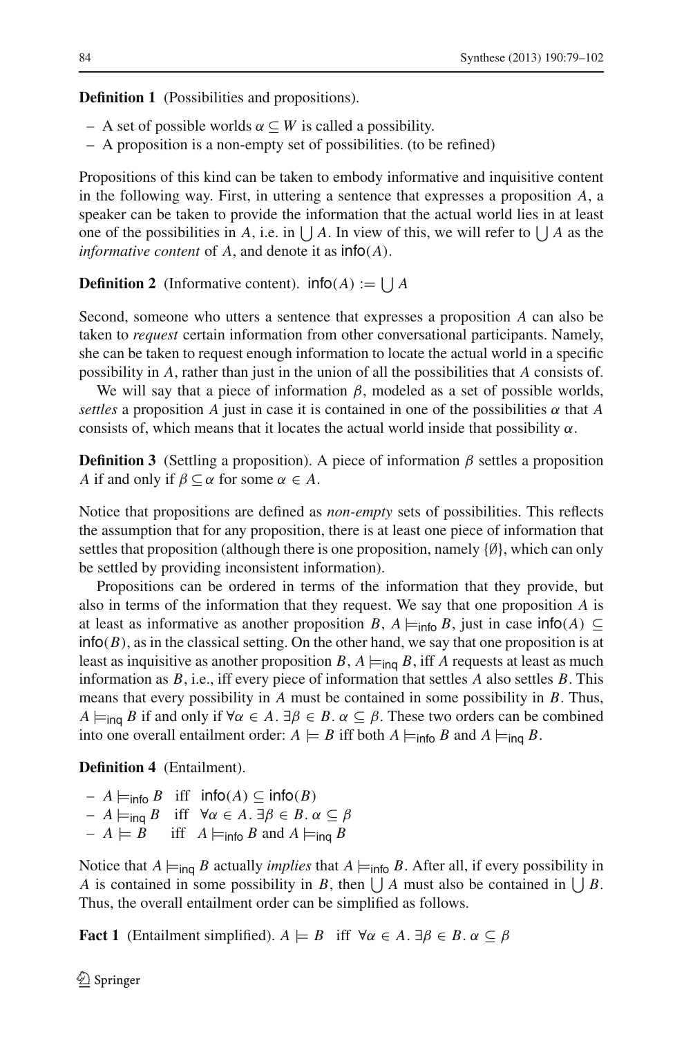**Definition 1** (Possibilities and propositions).

- A set of possible worlds  $\alpha \subseteq W$  is called a possibility.
- A proposition is a non-empty set of possibilities. (to be refined)

Propositions of this kind can be taken to embody informative and inquisitive content in the following way. First, in uttering a sentence that expresses a proposition *A*, a speaker can be taken to provide the information that the actual world lies in at least one of the possibilities in A, i.e. in  $\bigcup A$ . In view of this, we will refer to  $\bigcup A$  as the *informative content* of *A*, and denote it as info(*A*).

**Definition 2** (Informative content).  $\mathsf{info}(A) := \bigcup A$ 

Second, someone who utters a sentence that expresses a proposition *A* can also be taken to *request* certain information from other conversational participants. Namely, she can be taken to request enough information to locate the actual world in a specific possibility in *A*, rather than just in the union of all the possibilities that *A* consists of.

We will say that a piece of information  $\beta$ , modeled as a set of possible worlds, *settles* a proposition *A* just in case it is contained in one of the possibilities  $\alpha$  that *A* consists of, which means that it locates the actual world inside that possibility  $\alpha$ .

**Definition 3** (Settling a proposition). A piece of information  $\beta$  settles a proposition *A* if and only if  $\beta \subseteq \alpha$  for some  $\alpha \in A$ .

Notice that propositions are defined as *non-empty* sets of possibilities. This reflects the assumption that for any proposition, there is at least one piece of information that settles that proposition (although there is one proposition, namely  $\{\emptyset\}$ , which can only be settled by providing inconsistent information).

Propositions can be ordered in terms of the information that they provide, but also in terms of the information that they request. We say that one proposition *A* is at least as informative as another proposition *B*,  $A \models_{\text{info}} B$ , just in case info(*A*) ⊆  $info(B)$ , as in the classical setting. On the other hand, we say that one proposition is at least as inquisitive as another proposition *B*,  $A \models_{\text{inq}} B$ , iff *A* requests at least as much information as *B*, i.e., iff every piece of information that settles *A* also settles *B*. This means that every possibility in *A* must be contained in some possibility in *B*. Thus, *A*  $\models$ <sub>ing</sub> *B* if and only if ∀α ∈ *A*. ∃ $\beta \in B$ .  $\alpha \subseteq \beta$ . These two orders can be combined into one overall entailment order:  $A \models B$  iff both  $A \models_{\text{info}} B$  and  $A \models_{\text{inq}} B$ .

**Definition 4** (Entailment).

 $- A \models_{\text{info}} B$  iff  $\text{info}(A) \subseteq \text{info}(B)$ 

- $A \models_{\textsf{inq}} B$  iff  $∀α ∈ A$ . ∃β ∈ B. α ⊆ β
- $-A \models B$  iff  $A \models_{\text{info}} B$  and  $A \models_{\text{inq}} B$

Notice that  $A \models_{\text{inq}} B$  actually *implies* that  $A \models_{\text{info}} B$ . After all, if every possibility in *A* is contained in some possibility in *B*, then  $\bigcup A$  must also be contained in  $\bigcup B$ . Thus, the overall entailment order can be simplified as follows.

**Fact 1** (Entailment simplified).  $A \models B$  iff  $\forall \alpha \in A$ .  $\exists \beta \in B$ .  $\alpha \subseteq \beta$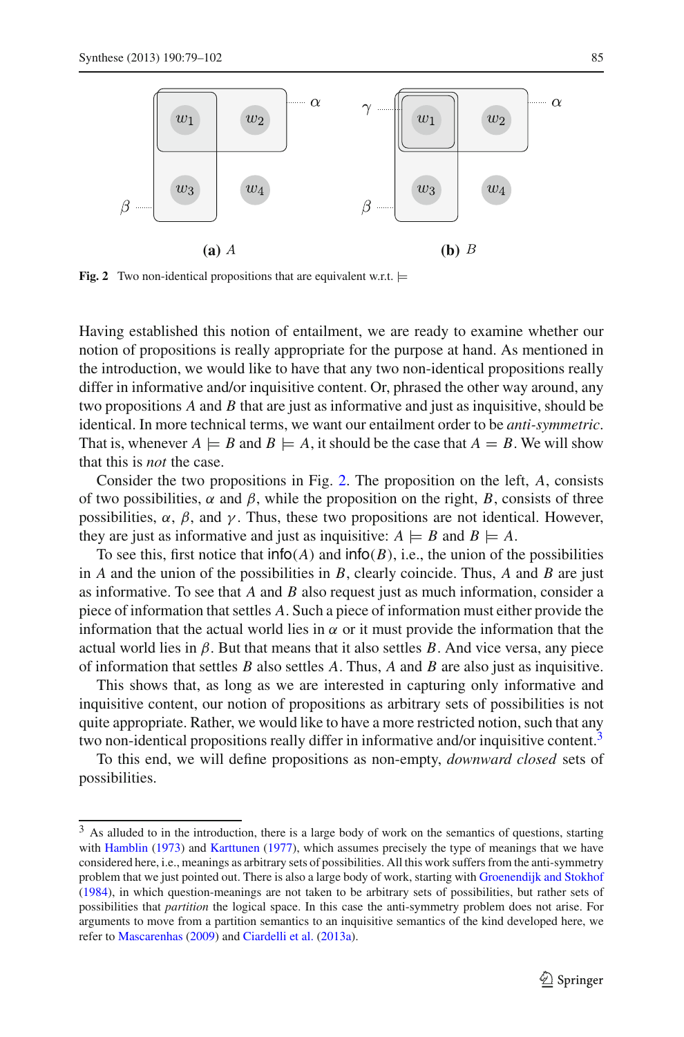

<span id="page-7-0"></span>**Fig. 2** Two non-identical propositions that are equivalent w.r.t.  $\models$ 

Having established this notion of entailment, we are ready to examine whether our notion of propositions is really appropriate for the purpose at hand. As mentioned in the introduction, we would like to have that any two non-identical propositions really differ in informative and/or inquisitive content. Or, phrased the other way around, any two propositions *A* and *B* that are just as informative and just as inquisitive, should be identical. In more technical terms, we want our entailment order to be *anti-symmetric*. That is, whenever  $A \models B$  and  $B \models A$ , it should be the case that  $A = B$ . We will show that this is *not* the case.

Consider the two propositions in Fig. [2.](#page-7-0) The proposition on the left, *A*, consists of two possibilities,  $\alpha$  and  $\beta$ , while the proposition on the right, *B*, consists of three possibilities,  $\alpha$ ,  $\beta$ , and  $\gamma$ . Thus, these two propositions are not identical. However, they are just as informative and just as inquisitive:  $A \models B$  and  $B \models A$ .

To see this, first notice that  $\text{info}(A)$  and  $\text{info}(B)$ , i.e., the union of the possibilities in *A* and the union of the possibilities in *B*, clearly coincide. Thus, *A* and *B* are just as informative. To see that *A* and *B* also request just as much information, consider a piece of information that settles *A*. Such a piece of information must either provide the information that the actual world lies in  $\alpha$  or it must provide the information that the actual world lies in  $\beta$ . But that means that it also settles *B*. And vice versa, any piece of information that settles *B* also settles *A*. Thus, *A* and *B* are also just as inquisitive.

This shows that, as long as we are interested in capturing only informative and inquisitive content, our notion of propositions as arbitrary sets of possibilities is not quite appropriate. Rather, we would like to have a more restricted notion, such that any two non-identical propositions really differ in informative and/or inquisitive content.<sup>3</sup>

To this end, we will define propositions as non-empty, *downward closed* sets of possibilities.

<span id="page-7-1"></span><sup>&</sup>lt;sup>3</sup> As alluded to in the introduction, there is a large body of work on the semantics of questions, starting with [Hamblin](#page-24-0) [\(1973](#page-24-0)) and [Karttunen](#page-24-1) [\(1977](#page-24-1)), which assumes precisely the type of meanings that we have considered here, i.e., meanings as arbitrary sets of possibilities. All this work suffers from the anti-symmetry problem that we just pointed out. There is also a large body of work, starting with [Groenendijk and Stokhof](#page-24-10) [\(1984](#page-24-10)), in which question-meanings are not taken to be arbitrary sets of possibilities, but rather sets of possibilities that *partition* the logical space. In this case the anti-symmetry problem does not arise. For arguments to move from a partition semantics to an inquisitive semantics of the kind developed here, we refer to [Mascarenhas](#page-24-11) [\(2009](#page-24-11)) and [Ciardelli et al.](#page-23-6) [\(2013a\)](#page-23-6).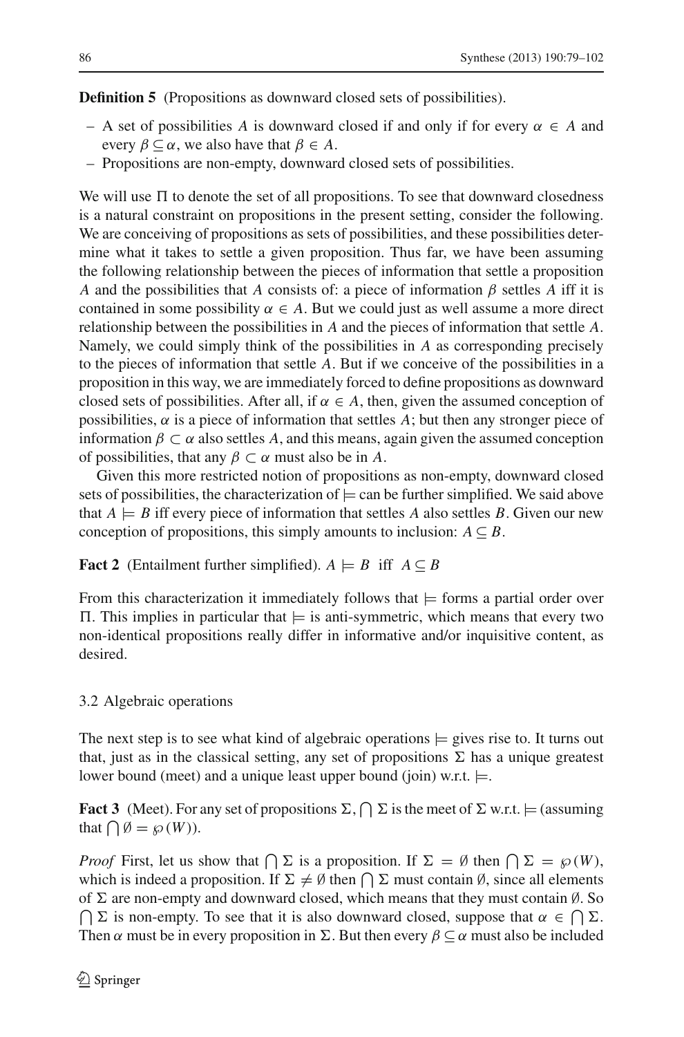**Definition 5** (Propositions as downward closed sets of possibilities).

- A set of possibilities A is downward closed if and only if for every  $\alpha \in A$  and every  $\beta \subset \alpha$ , we also have that  $\beta \in A$ .
- Propositions are non-empty, downward closed sets of possibilities.

We will use  $\Pi$  to denote the set of all propositions. To see that downward closedness is a natural constraint on propositions in the present setting, consider the following. We are conceiving of propositions as sets of possibilities, and these possibilities determine what it takes to settle a given proposition. Thus far, we have been assuming the following relationship between the pieces of information that settle a proposition *A* and the possibilities that *A* consists of: a piece of information  $\beta$  settles *A* iff it is contained in some possibility  $\alpha \in A$ . But we could just as well assume a more direct relationship between the possibilities in *A* and the pieces of information that settle *A*. Namely, we could simply think of the possibilities in *A* as corresponding precisely to the pieces of information that settle *A*. But if we conceive of the possibilities in a proposition in this way, we are immediately forced to define propositions as downward closed sets of possibilities. After all, if  $\alpha \in A$ , then, given the assumed conception of possibilities,  $\alpha$  is a piece of information that settles A; but then any stronger piece of information  $\beta \subset \alpha$  also settles A, and this means, again given the assumed conception of possibilities, that any  $\beta \subset \alpha$  must also be in A.

Given this more restricted notion of propositions as non-empty, downward closed sets of possibilities, the characterization of  $\models$  can be further simplified. We said above that  $A \models B$  iff every piece of information that settles A also settles B. Given our new conception of propositions, this simply amounts to inclusion:  $A \subseteq B$ .

**Fact 2** (Entailment further simplified).  $A \models B$  iff  $A \subseteq B$ 

From this characterization it immediately follows that  $\models$  forms a partial order over  $\Pi$ . This implies in particular that  $\models$  is anti-symmetric, which means that every two non-identical propositions really differ in informative and/or inquisitive content, as desired.

#### 3.2 Algebraic operations

The next step is to see what kind of algebraic operations  $\models$  gives rise to. It turns out that, just as in the classical setting, any set of propositions  $\Sigma$  has a unique greatest lower bound (meet) and a unique least upper bound (join) w.r.t.  $\models$ .

**Fact 3** (Meet). For any set of propositions  $\Sigma$ ,  $\bigcap \Sigma$  is the meet of  $\Sigma$  w.r.t.  $\models$  (assuming that  $\bigcap \emptyset = \wp(W)$ ).

*Proof* First, let us show that  $\bigcap \Sigma$  is a proposition. If  $\Sigma = \emptyset$  then  $\bigcap \Sigma = \wp(W)$ , which is indeed a proposition. If  $\Sigma \neq \emptyset$  then  $\bigcap \Sigma$  must contain  $\emptyset$ , since all elements of  $\Sigma$  are non-empty and downward closed, which means that they must contain  $\emptyset$ . So  $\bigcap \Sigma$  is non-empty. To see that it is also downward closed, suppose that  $\alpha \in \bigcap \Sigma$ . Then  $\alpha$  must be in every proposition in  $\Sigma$ . But then every  $\beta \subseteq \alpha$  must also be included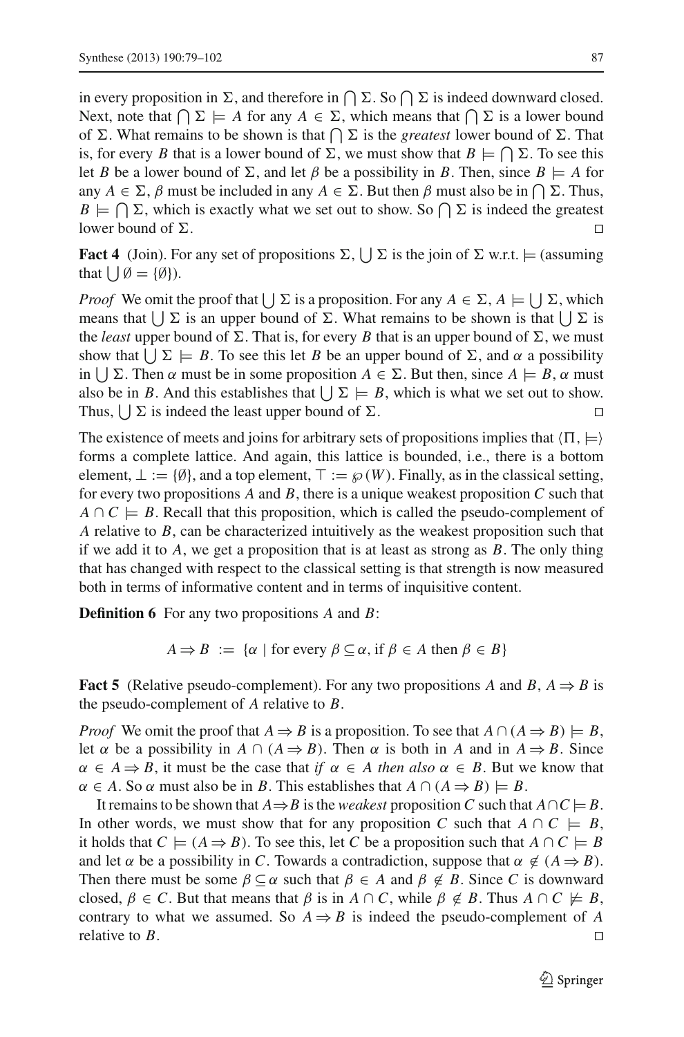in every proposition in  $\Sigma$ , and therefore in  $\bigcap \Sigma$ . So  $\bigcap \Sigma$  is indeed downward closed. Next, note that  $\bigcap \Sigma \models A$  for any  $A \in \Sigma$ , which means that  $\bigcap \Sigma$  is a lower bound of  $\Sigma$ . What remains to be shown is that  $\bigcap \Sigma$  is the *greatest* lower bound of  $\Sigma$ . That is, for every *B* that is a lower bound of  $\Sigma$ , we must show that  $B \models \bigcap \Sigma$ . To see this let *B* be a lower bound of  $\Sigma$ , and let *β* be a possibility in *B*. Then, since  $B \models A$  for any  $A \in \Sigma$ ,  $\beta$  must be included in any  $A \in \Sigma$ . But then  $\beta$  must also be in  $\bigcap \Sigma$ . Thus,  $B \models \bigcap \Sigma$ , which is exactly what we set out to show. So  $\bigcap \Sigma$  is indeed the greatest lower bound of  $\Sigma$ .

**Fact 4** (Join). For any set of propositions  $\Sigma$ ,  $\bigcup \Sigma$  is the join of  $\Sigma$  w.r.t.  $\models$  (assuming that  $\bigcup \emptyset = \{\emptyset\}$ ).

*Proof* We omit the proof that  $\bigcup \Sigma$  is a proposition. For any  $A \in \Sigma$ ,  $A \models \bigcup \Sigma$ , which means that  $\bigcup \Sigma$  is an upper bound of  $\Sigma$ . What remains to be shown is that  $\bigcup \Sigma$  is the *least* upper bound of  $\Sigma$ . That is, for every *B* that is an upper bound of  $\Sigma$ , we must show that  $\bigcup \Sigma \models B$ . To see this let *B* be an upper bound of  $\Sigma$ , and  $\alpha$  a possibility in  $\bigcup \Sigma$ . Then  $\alpha$  must be in some proposition  $A \in \Sigma$ . But then, since  $A \models B$ ,  $\alpha$  must also be in *B*. And this establishes that  $\bigcup \Sigma \models B$ , which is what we set out to show. Thus,  $\bigcup \Sigma$  is indeed the least upper bound of  $\Sigma$ .

The existence of meets and joins for arbitrary sets of propositions implies that  $\langle \Pi, \models \rangle$ forms a complete lattice. And again, this lattice is bounded, i.e., there is a bottom element,  $\bot := \{\emptyset\}$ , and a top element,  $\top := \wp(W)$ . Finally, as in the classical setting, for every two propositions *A* and *B*, there is a unique weakest proposition *C* such that  $A \cap C \models B$ . Recall that this proposition, which is called the pseudo-complement of *A* relative to *B*, can be characterized intuitively as the weakest proposition such that if we add it to *A*, we get a proposition that is at least as strong as *B*. The only thing that has changed with respect to the classical setting is that strength is now measured both in terms of informative content and in terms of inquisitive content.

**Definition 6** For any two propositions *A* and *B*:

$$
A \Rightarrow B := \{ \alpha \mid \text{for every } \beta \subseteq \alpha \text{, if } \beta \in A \text{ then } \beta \in B \}
$$

**Fact 5** (Relative pseudo-complement). For any two propositions *A* and *B*,  $A \Rightarrow B$  is the pseudo-complement of *A* relative to *B*.

*Proof* We omit the proof that  $A \Rightarrow B$  is a proposition. To see that  $A \cap (A \Rightarrow B) \models B$ , let  $\alpha$  be a possibility in  $A \cap (A \Rightarrow B)$ . Then  $\alpha$  is both in *A* and in  $A \Rightarrow B$ . Since  $\alpha \in A \Rightarrow B$ , it must be the case that *if*  $\alpha \in A$  *then also*  $\alpha \in B$ . But we know that  $\alpha \in A$ . So  $\alpha$  must also be in *B*. This establishes that  $A \cap (A \Rightarrow B) \models B$ .

It remains to be shown that  $A \Rightarrow B$  is the *weakest* proposition *C* such that  $A \cap C \models B$ . In other words, we must show that for any proposition *C* such that  $A \cap C \models B$ , it holds that  $C \models (A \Rightarrow B)$ . To see this, let *C* be a proposition such that  $A \cap C \models B$ and let  $\alpha$  be a possibility in *C*. Towards a contradiction, suppose that  $\alpha \notin (A \Rightarrow B)$ . Then there must be some  $\beta \subseteq \alpha$  such that  $\beta \in A$  and  $\beta \notin B$ . Since *C* is downward closed,  $\beta \in C$ . But that means that  $\beta$  is in  $A \cap C$ , while  $\beta \notin B$ . Thus  $A \cap C \not\models B$ , contrary to what we assumed. So  $A \Rightarrow B$  is indeed the pseudo-complement of A relative to *B*.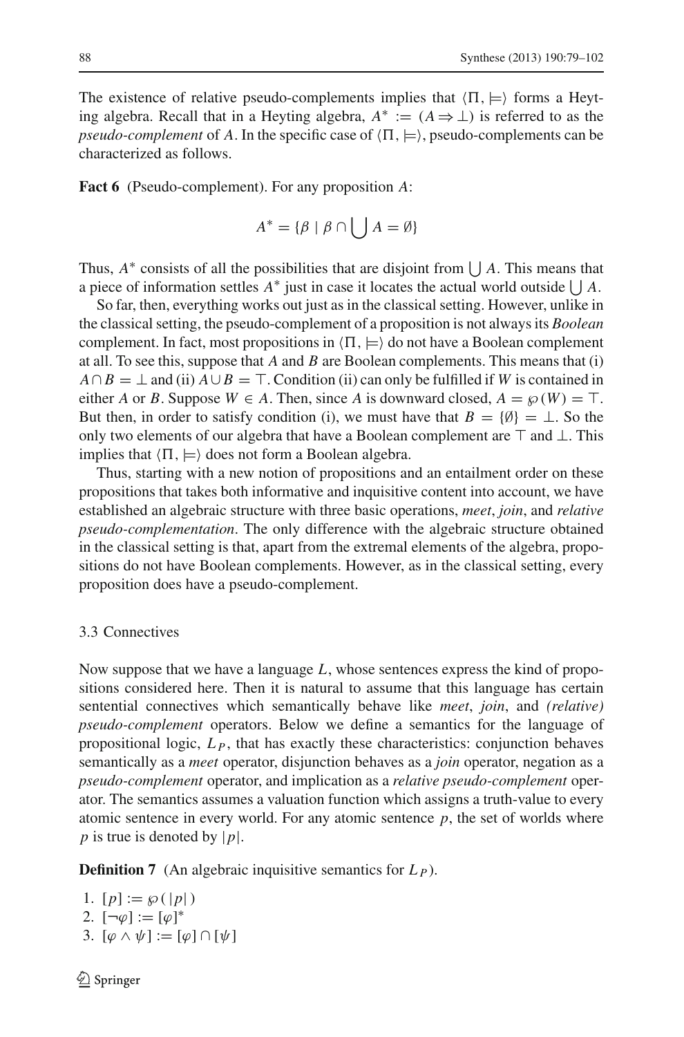The existence of relative pseudo-complements implies that  $\langle \Pi, \models \rangle$  forms a Heyting algebra. Recall that in a Heyting algebra,  $A^* := (A \Rightarrow \perp)$  is referred to as the *pseudo-complement* of A. In the specific case of  $\{\Pi, \models\}$ , pseudo-complements can be characterized as follows.

**Fact 6** (Pseudo-complement). For any proposition *A*:

$$
A^* = \{ \beta \mid \beta \cap \big| \big| A = \emptyset \}
$$

Thus,  $A^*$  consists of all the possibilities that are disjoint from  $\bigcup A$ . This means that a piece of information settles  $A^*$  just in case it locates the actual world outside  $\bigcup A$ .

So far, then, everything works out just as in the classical setting. However, unlike in the classical setting, the pseudo-complement of a proposition is not always its *Boolean* complement. In fact, most propositions in  $\langle \Pi, \models \rangle$  do not have a Boolean complement at all. To see this, suppose that *A* and *B* are Boolean complements. This means that (i)  $A \cap B = \perp$  and (ii)  $A \cup B = \top$ . Condition (ii) can only be fulfilled if *W* is contained in either *A* or *B*. Suppose  $W \in A$ . Then, since *A* is downward closed,  $A = \wp(W) = \top$ . But then, in order to satisfy condition (i), we must have that  $B = \{\emptyset\} = \bot$ . So the only two elements of our algebra that have a Boolean complement are  $\top$  and  $\bot$ . This implies that  $\langle \Pi, \models \rangle$  does not form a Boolean algebra.

Thus, starting with a new notion of propositions and an entailment order on these propositions that takes both informative and inquisitive content into account, we have established an algebraic structure with three basic operations, *meet*, *join*, and *relative pseudo-complementation*. The only difference with the algebraic structure obtained in the classical setting is that, apart from the extremal elements of the algebra, propositions do not have Boolean complements. However, as in the classical setting, every proposition does have a pseudo-complement.

#### 3.3 Connectives

Now suppose that we have a language *L*, whose sentences express the kind of propositions considered here. Then it is natural to assume that this language has certain sentential connectives which semantically behave like *meet*, *join*, and *(relative) pseudo-complement* operators. Below we define a semantics for the language of propositional logic,  $L<sub>P</sub>$ , that has exactly these characteristics: conjunction behaves semantically as a *meet* operator, disjunction behaves as a *join* operator, negation as a *pseudo-complement* operator, and implication as a *relative pseudo-complement* operator. The semantics assumes a valuation function which assigns a truth-value to every atomic sentence in every world. For any atomic sentence *p*, the set of worlds where *p* is true is denoted by  $|p|$ .

**Definition 7** (An algebraic inquisitive semantics for *L <sup>P</sup>*).

1. 
$$
[p] := \wp(|p|)
$$
  
2.  $[\neg \varphi] := [\varphi]^*$   
3.  $[\varphi \land \psi] := [\varphi] \cap [\psi]$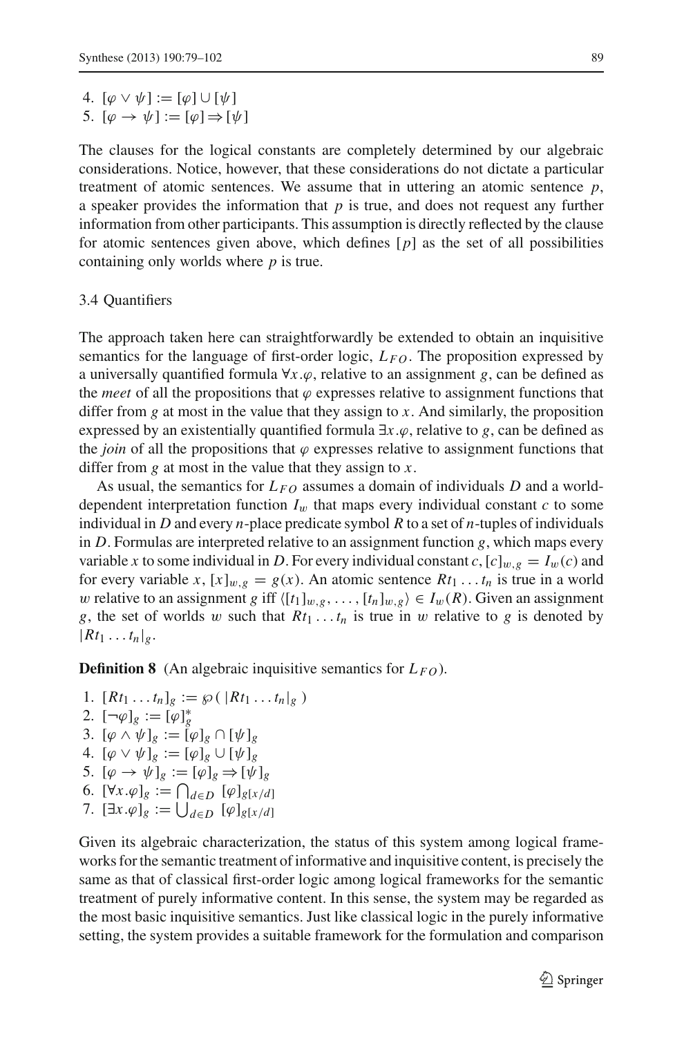4.  $[\varphi \vee \psi] := [\varphi] \cup [\psi]$ 5.  $\lbrack \varphi \rightarrow \psi \rbrack := \lbrack \varphi \rbrack \Rightarrow \lbrack \psi \rbrack$ 

The clauses for the logical constants are completely determined by our algebraic considerations. Notice, however, that these considerations do not dictate a particular treatment of atomic sentences. We assume that in uttering an atomic sentence *p*, a speaker provides the information that *p* is true, and does not request any further information from other participants. This assumption is directly reflected by the clause for atomic sentences given above, which defines  $[p]$  as the set of all possibilities containing only worlds where *p* is true.

#### 3.4 Quantifiers

The approach taken here can straightforwardly be extended to obtain an inquisitive semantics for the language of first-order logic,  $L_{FO}$ . The proposition expressed by a universally quantified formula  $\forall x.\varphi$ , relative to an assignment *g*, can be defined as the *meet* of all the propositions that  $\varphi$  expresses relative to assignment functions that differ from *g* at most in the value that they assign to *x*. And similarly, the proposition expressed by an existentially quantified formula ∃*x*.ϕ, relative to *g*, can be defined as the *join* of all the propositions that  $\varphi$  expresses relative to assignment functions that differ from *g* at most in the value that they assign to *x*.

As usual, the semantics for  $L_{FO}$  assumes a domain of individuals  $D$  and a worlddependent interpretation function  $I_w$  that maps every individual constant  $c$  to some individual in *D* and every *n*-place predicate symbol *R* to a set of *n*-tuples of individuals in *D*. Formulas are interpreted relative to an assignment function *g*, which maps every variable *x* to some individual in *D*. For every individual constant *c*,  $[c]_{w,g} = I_w(c)$  and for every variable *x*,  $[x]_{w,g} = g(x)$ . An atomic sentence  $Rt_1 \dots t_n$  is true in a world w relative to an assignment *g* iff  $\langle [t_1]_{w,g}, \ldots, [t_n]_{w,g} \rangle \in I_w(R)$ . Given an assignment *g*, the set of worlds w such that  $Rt_1 \ldots t_n$  is true in w relative to *g* is denoted by  $|Rt_1 \ldots t_n|_g.$ 

**Definition 8** (An algebraic inquisitive semantics for  $L_{FO}$ ).

1.  $[Rt_1 \ldots t_n]_g := \wp(|Rt_1 \ldots t_n|_g)$ 2.  $[\neg \varphi]_g := [\varphi]_g^*$ 3.  $[\varphi \wedge \psi]_g := [\varphi]_g \cap [\psi]_g$ 4.  $[\varphi \vee \psi]_g := [\varphi]_g \cup [\psi]_g$ 5.  $[\varphi \rightarrow \psi]_g := [\varphi]_g \Rightarrow [\psi]_g$ 6.  $[\forall x.\varphi]_g := \bigcap_{d \in D} [\varphi]_{g[x/d]}$ 7.  $[\exists x.\varphi]_g := \bigcup_{d \in D} [\varphi]_{g[x/d]}$ 

Given its algebraic characterization, the status of this system among logical frameworks for the semantic treatment of informative and inquisitive content, is precisely the same as that of classical first-order logic among logical frameworks for the semantic treatment of purely informative content. In this sense, the system may be regarded as the most basic inquisitive semantics. Just like classical logic in the purely informative setting, the system provides a suitable framework for the formulation and comparison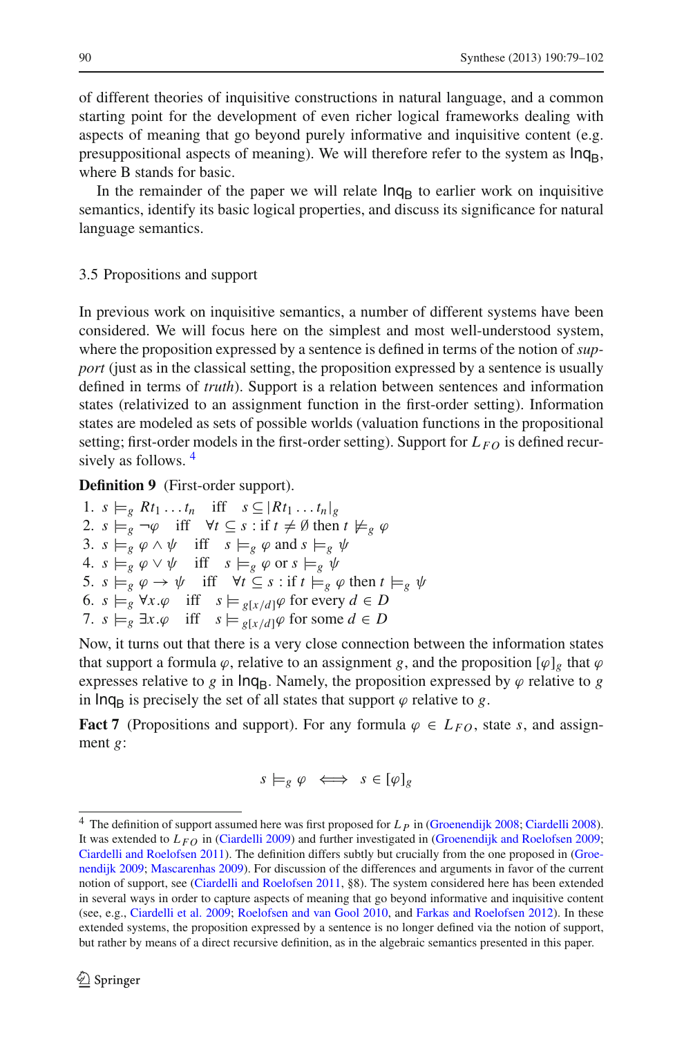of different theories of inquisitive constructions in natural language, and a common starting point for the development of even richer logical frameworks dealing with aspects of meaning that go beyond purely informative and inquisitive content (e.g. presuppositional aspects of meaning). We will therefore refer to the system as  $\ln q_B$ , where B stands for basic.

In the remainder of the paper we will relate  $\text{Inq}_B$  to earlier work on inquisitive semantics, identify its basic logical properties, and discuss its significance for natural language semantics.

#### 3.5 Propositions and support

In previous work on inquisitive semantics, a number of different systems have been considered. We will focus here on the simplest and most well-understood system, where the proposition expressed by a sentence is defined in terms of the notion of *support* (just as in the classical setting, the proposition expressed by a sentence is usually defined in terms of *truth*). Support is a relation between sentences and information states (relativized to an assignment function in the first-order setting). Information states are modeled as sets of possible worlds (valuation functions in the propositional setting; first-order models in the first-order setting). Support for *L F O* is defined recursively as follows. [4](#page-12-0)

## **Definition 9** (First-order support).

1.  $s \models g Rt_1 \ldots t_n$  iff  $s \subseteq |Rt_1 \ldots t_n|_g$ 2.  $s \models_{g} \neg \varphi$  iff  $\forall t \subseteq s : \text{if } t \neq \emptyset \text{ then } t \not\models_{g} \varphi$ 3.  $s \models_g \varphi \land \psi$  iff  $s \models_g \varphi$  and  $s \models_g \psi$ 4.  $s \models_g \varphi \vee \psi$  iff  $s \models_g \varphi$  or  $s \models_g \psi$ 5.  $s \models_{g} \varphi \rightarrow \psi$  iff  $\forall t \subseteq s : \text{if } t \models_{g} \varphi \text{ then } t \models_{g} \psi$ 6.  $s \models_g \forall x.\varphi$  iff  $s \models_{g[x/d]} \varphi$  for every  $d \in D$ 7.  $s \models_g \exists x.\varphi$  iff  $s \models_{g[x/d]} \varphi$  for some  $d \in D$ 

Now, it turns out that there is a very close connection between the information states that support a formula  $\varphi$ , relative to an assignment *g*, and the proposition  $[\varphi]_g$  that  $\varphi$ expresses relative to  $g$  in  $\text{Inq}_B$ . Namely, the proposition expressed by  $\varphi$  relative to  $g$ in  $\ln q_B$  is precisely the set of all states that support  $\varphi$  relative to g.

**Fact 7** (Propositions and support). For any formula  $\varphi \in L_{FO}$ , state *s*, and assignment *g*:

$$
s \models_g \varphi \iff s \in [\varphi]_g
$$

<span id="page-12-0"></span><sup>&</sup>lt;sup>4</sup> The definition of support assumed here was first proposed for *L<sub>P</sub>* in [\(Groenendijk 2008;](#page-24-12) [Ciardelli 2008](#page-23-7)). It was extended to *L<sub>FO</sub>* in [\(Ciardelli 2009\)](#page-23-0) and further investigated in [\(Groenendijk and Roelofsen 2009;](#page-24-2) [Ciardelli and Roelofsen 2011\)](#page-24-3)[.](#page-24-13) [The](#page-24-13) [definition](#page-24-13) [differs](#page-24-13) [subtly](#page-24-13) [but](#page-24-13) [crucially](#page-24-13) [from](#page-24-13) [the](#page-24-13) [one](#page-24-13) [proposed](#page-24-13) [in](#page-24-13) [\(](#page-24-13)Groenendijk [2009;](#page-24-13) [Mascarenhas 2009\)](#page-24-11). For discussion of the differences and arguments in favor of the current notion of support, see [\(Ciardelli and Roelofsen 2011](#page-24-3), §8). The system considered here has been extended in several ways in order to capture aspects of meaning that go beyond informative and inquisitive content (see, e.g., [Ciardelli et al. 2009](#page-23-8); [Roelofsen and van Gool 2010](#page-24-14), and [Farkas and Roelofsen 2012\)](#page-24-15). In these extended systems, the proposition expressed by a sentence is no longer defined via the notion of support, but rather by means of a direct recursive definition, as in the algebraic semantics presented in this paper.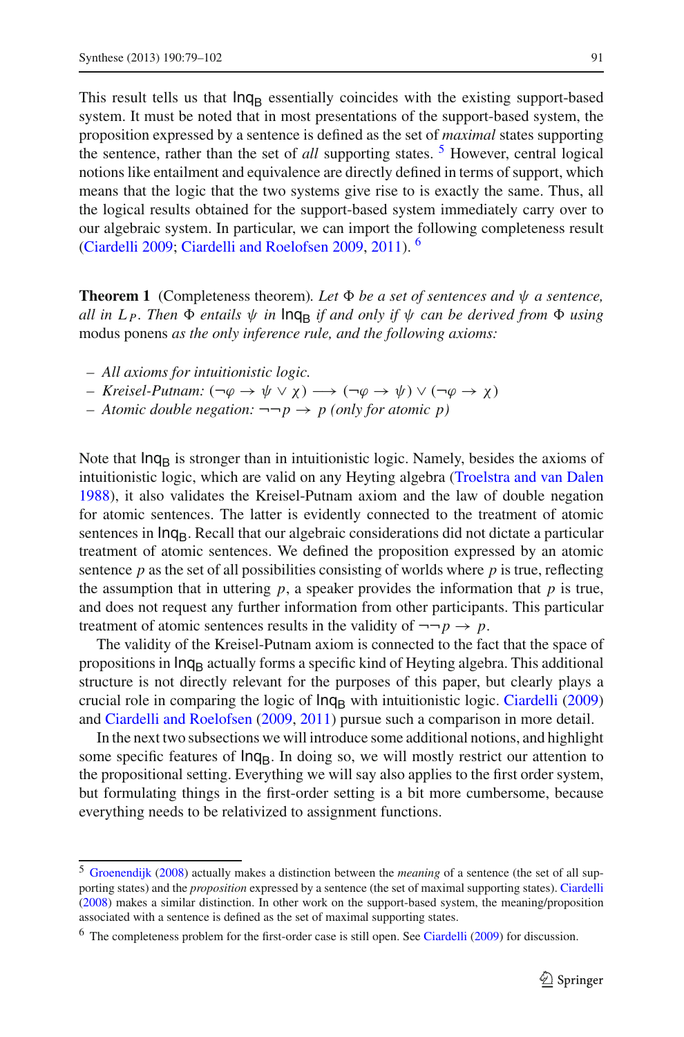This result tells us that  $\ln q_B$  essentially coincides with the existing support-based system. It must be noted that in most presentations of the support-based system, the proposition expressed by a sentence is defined as the set of *maximal* states supporting the sentence, rather than the set of *all* supporting states.<sup>[5](#page-13-0)</sup> However, central logical notions like entailment and equivalence are directly defined in terms of support, which means that the logic that the two systems give rise to is exactly the same. Thus, all the logical results obtained for the support-based system immediately carry over to our algebraic system. In particular, we can import the following completeness result [\(Ciardelli 2009](#page-23-0); [Ciardelli and Roelofsen 2009,](#page-24-16) [2011\)](#page-24-3). [6](#page-13-1)

**Theorem 1** (Completeness theorem)*. Let be a set of sentences and* ψ *a sentence, all in L<sub>P</sub>. Then* Φ *entails*  $\psi$  *in*  $\text{lnq}_B$  *if and only if*  $\psi$  *can be derived from* Φ *using* modus ponens *as the only inference rule, and the following axioms:*

- *All axioms for intuitionistic logic.*
- *Kreisel-Putnam:*  $(\neg \varphi \rightarrow \psi \lor \chi) \rightarrow (\neg \varphi \rightarrow \psi) \lor (\neg \varphi \rightarrow \chi)$
- *Atomic double negation:*  $\neg \neg p \rightarrow p$  (only for atomic p)

Note that  $\text{Inq}_B$  is stronger than in intuitionistic logic. Namely, besides the axioms of intuitionistic logic, which are valid on any Heyting algebra [\(Troelstra and van Dalen](#page-24-17) [1988\)](#page-24-17), it also validates the Kreisel-Putnam axiom and the law of double negation for atomic sentences. The latter is evidently connected to the treatment of atomic sentences in  $Inq_B$ . Recall that our algebraic considerations did not dictate a particular treatment of atomic sentences. We defined the proposition expressed by an atomic sentence  $p$  as the set of all possibilities consisting of worlds where  $p$  is true, reflecting the assumption that in uttering  $p$ , a speaker provides the information that  $p$  is true, and does not request any further information from other participants. This particular treatment of atomic sentences results in the validity of  $\neg \neg p \rightarrow p$ .

The validity of the Kreisel-Putnam axiom is connected to the fact that the space of propositions in  $\text{Inq}_B$  actually forms a specific kind of Heyting algebra. This additional structure is not directly relevant for the purposes of this paper, but clearly plays a crucial role in comparing the logic of  $\text{Inq}_B$  with intuitionistic logic. [Ciardelli](#page-23-0) [\(2009\)](#page-23-0) and [Ciardelli and Roelofsen](#page-24-16) [\(2009,](#page-24-16) [2011\)](#page-24-3) pursue such a comparison in more detail.

In the next two subsections we will introduce some additional notions, and highlight some specific features of  $\text{Inq}_B$ . In doing so, we will mostly restrict our attention to the propositional setting. Everything we will say also applies to the first order system, but formulating things in the first-order setting is a bit more cumbersome, because everything needs to be relativized to assignment functions.

<span id="page-13-0"></span><sup>5</sup> [Groenendijk](#page-24-12) [\(2008](#page-24-12)) actually makes a distinction between the *meaning* of a sentence (the set of all supporting states) and the *proposition* expressed by a sentence (the set of maximal supporting states). [Ciardelli](#page-23-7) [\(2008](#page-23-7)) makes a similar distinction. In other work on the support-based system, the meaning/proposition associated with a sentence is defined as the set of maximal supporting states.

<span id="page-13-1"></span><sup>&</sup>lt;sup>6</sup> The completeness problem for the first-order case is still open. See [Ciardelli](#page-23-0) [\(2009\)](#page-23-0) for discussion.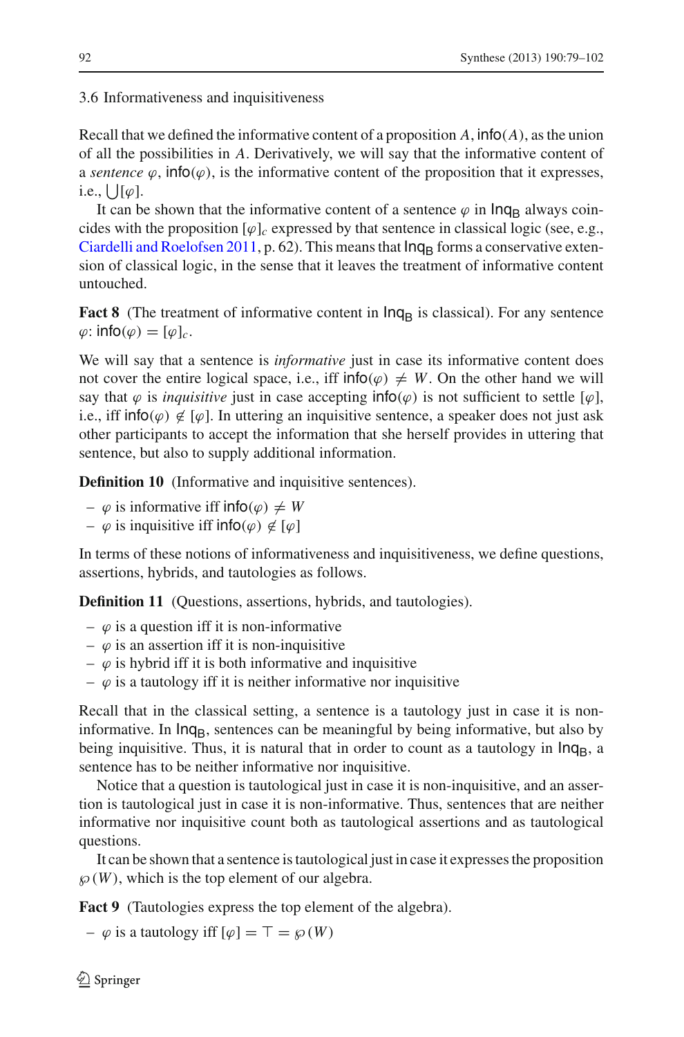#### 3.6 Informativeness and inquisitiveness

Recall that we defined the informative content of a proposition  $A$ ,  $\text{info}(A)$ , as the union of all the possibilities in *A*. Derivatively, we will say that the informative content of a *sentence*  $\varphi$ ,  $\text{info}(\varphi)$ , is the informative content of the proposition that it expresses, i.e.,  $\bigcup [\varphi]$ .

It can be shown that the informative content of a sentence  $\varphi$  in  $\text{Inq}_{\text{B}}$  always coincides with the proposition  $[\varphi]_c$  expressed by that sentence in classical logic (see, e.g., [Ciardelli and Roelofsen 2011](#page-24-3), p. 62). This means that  $\ln q_B$  forms a conservative extension of classical logic, in the sense that it leaves the treatment of informative content untouched.

**Fact 8** (The treatment of informative content in  $\text{Inq}_{\text{B}}$  is classical). For any sentence  $\varphi$ : info( $\varphi$ ) =  $[\varphi]_c$ .

We will say that a sentence is *informative* just in case its informative content does not cover the entire logical space, i.e., iff  $\text{info}(\varphi) \neq W$ . On the other hand we will say that  $\varphi$  is *inquisitive* just in case accepting  $\text{info}(\varphi)$  is not sufficient to settle [ $\varphi$ ], i.e., iff  $\text{info}(\varphi) \notin [\varphi]$ . In uttering an inquisitive sentence, a speaker does not just ask other participants to accept the information that she herself provides in uttering that sentence, but also to supply additional information.

**Definition 10** (Informative and inquisitive sentences).

- $-\varphi$  is informative iff  $\mathsf{info}(\varphi) \neq W$
- $\varphi$  is inquisitive iff  $\mathsf{info}(\varphi) \notin [\varphi]$

In terms of these notions of informativeness and inquisitiveness, we define questions, assertions, hybrids, and tautologies as follows.

**Definition 11** (Questions, assertions, hybrids, and tautologies).

- $\varphi$  is a question iff it is non-informative
- $-\varphi$  is an assertion iff it is non-inquisitive
- $-\varphi$  is hybrid iff it is both informative and inquisitive
- $-\varphi$  is a tautology iff it is neither informative nor inquisitive

Recall that in the classical setting, a sentence is a tautology just in case it is noninformative. In  $\text{Inq}_B$ , sentences can be meaningful by being informative, but also by being inquisitive. Thus, it is natural that in order to count as a tautology in  $\text{Inq}_B$ , a sentence has to be neither informative nor inquisitive.

Notice that a question is tautological just in case it is non-inquisitive, and an assertion is tautological just in case it is non-informative. Thus, sentences that are neither informative nor inquisitive count both as tautological assertions and as tautological questions.

It can be shown that a sentence is tautological just in case it expresses the proposition  $\wp(W)$ , which is the top element of our algebra.

**Fact 9** (Tautologies express the top element of the algebra).

–  $\varphi$  is a tautology iff  $[\varphi]=\top = \varphi(W)$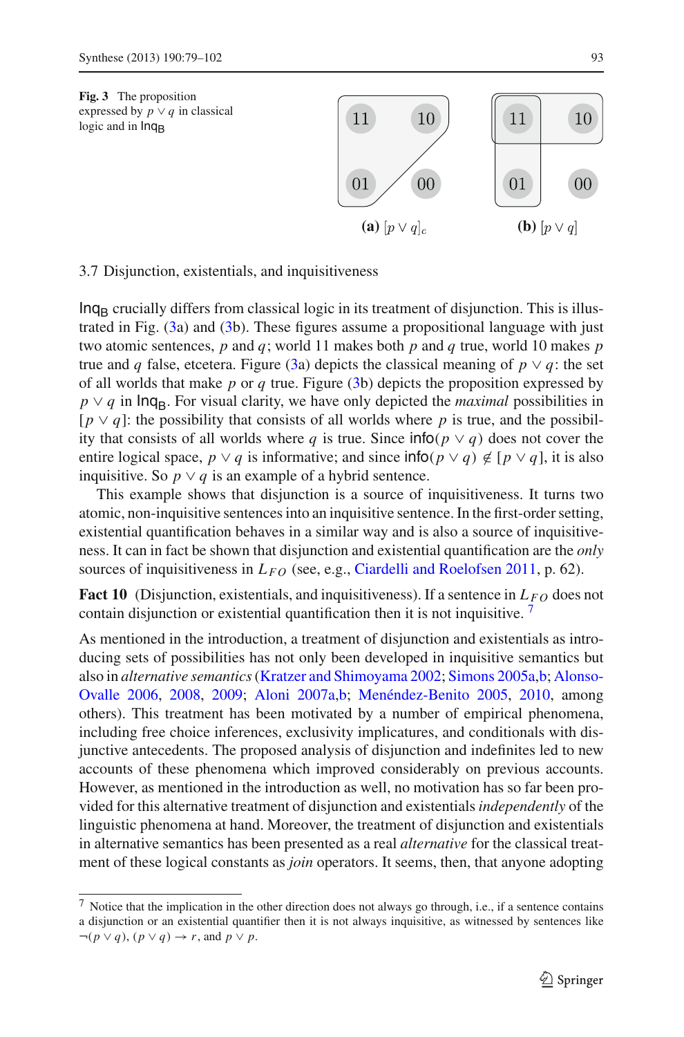<span id="page-15-0"></span>



3.7 Disjunction, existentials, and inquisitiveness

 $Inq<sub>B</sub>$  crucially differs from classical logic in its treatment of disjunction. This is illustrated in Fig. [\(3a](#page-15-0)) and [\(3b](#page-15-0)). These figures assume a propositional language with just two atomic sentences, *p* and *q*; world 11 makes both *p* and *q* true, world 10 makes *p* true and *q* false, etcetera. Figure [\(3a](#page-15-0)) depicts the classical meaning of  $p \vee q$ : the set of all worlds that make *p* or *q* true. Figure [\(3b](#page-15-0)) depicts the proposition expressed by  $p \vee q$  in  $\text{Inq}_B$ . For visual clarity, we have only depicted the *maximal* possibilities in  $[p \vee q]$ : the possibility that consists of all worlds where *p* is true, and the possibility that consists of all worlds where *q* is true. Since  $\text{info}(p \lor q)$  does not cover the entire logical space,  $p \lor q$  is informative; and since  $\text{info}(p \lor q) \notin [p \lor q]$ , it is also inquisitive. So  $p \vee q$  is an example of a hybrid sentence.

This example shows that disjunction is a source of inquisitiveness. It turns two atomic, non-inquisitive sentences into an inquisitive sentence. In the first-order setting, existential quantification behaves in a similar way and is also a source of inquisitiveness. It can in fact be shown that disjunction and existential quantification are the *only* sources of inquisitiveness in  $L_{FO}$  (see, e.g., [Ciardelli and Roelofsen 2011,](#page-24-3) p. 62).

**Fact 10** (Disjunction, existentials, and inquisitiveness). If a sentence in  $L_{FO}$  does not contain disjunction or existential quantification then it is not inquisitive.<sup>[7](#page-15-1)</sup>

As mentioned in the introduction, a treatment of disjunction and existentials as introducing sets of possibilities has not only been developed in inquisitive semantics but also in *alternative semantics*[\(Kratzer and Shimoyama 2002](#page-24-4)[;](#page-23-1) [Simons 2005a](#page-24-5)[,b;](#page-24-6) Alonso-Ovalle [2006,](#page-23-1) [2008,](#page-23-2) [2009](#page-23-3); [Aloni 2007a](#page-23-4)[,b;](#page-23-5) [Menéndez-Benito 2005](#page-24-7), [2010,](#page-24-8) among others). This treatment has been motivated by a number of empirical phenomena, including free choice inferences, exclusivity implicatures, and conditionals with disjunctive antecedents. The proposed analysis of disjunction and indefinites led to new accounts of these phenomena which improved considerably on previous accounts. However, as mentioned in the introduction as well, no motivation has so far been provided for this alternative treatment of disjunction and existentials *independently* of the linguistic phenomena at hand. Moreover, the treatment of disjunction and existentials in alternative semantics has been presented as a real *alternative* for the classical treatment of these logical constants as *join* operators. It seems, then, that anyone adopting

<span id="page-15-1"></span><sup>7</sup> Notice that the implication in the other direction does not always go through, i.e., if a sentence contains a disjunction or an existential quantifier then it is not always inquisitive, as witnessed by sentences like  $\neg(p \lor q), (p \lor q) \rightarrow r$ , and  $p \lor p$ .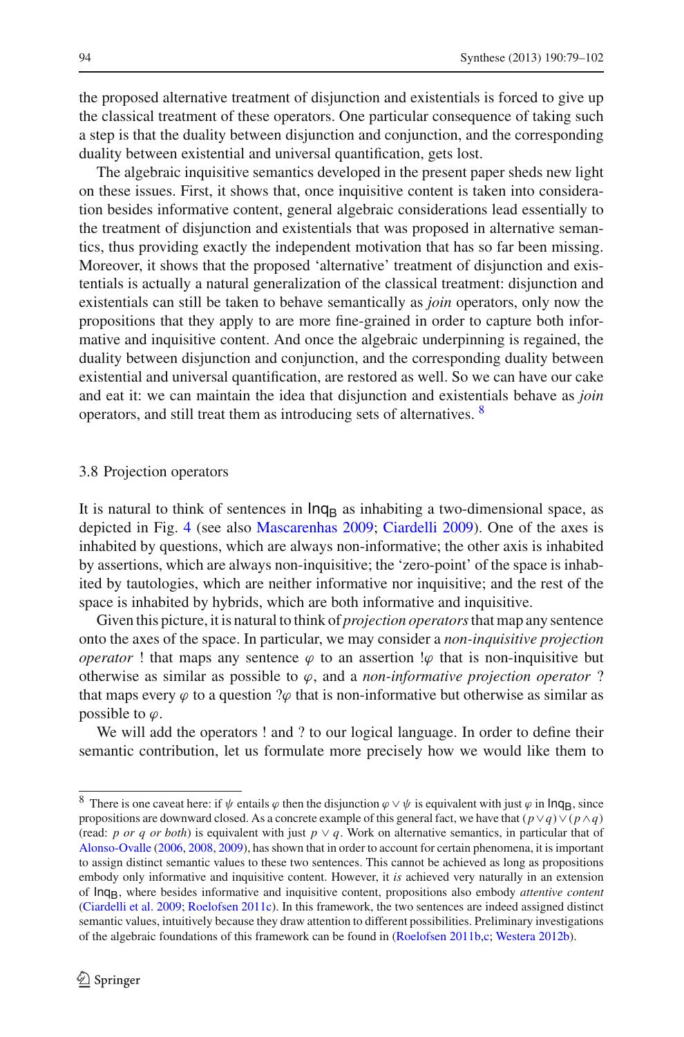the proposed alternative treatment of disjunction and existentials is forced to give up the classical treatment of these operators. One particular consequence of taking such a step is that the duality between disjunction and conjunction, and the corresponding duality between existential and universal quantification, gets lost.

The algebraic inquisitive semantics developed in the present paper sheds new light on these issues. First, it shows that, once inquisitive content is taken into consideration besides informative content, general algebraic considerations lead essentially to the treatment of disjunction and existentials that was proposed in alternative semantics, thus providing exactly the independent motivation that has so far been missing. Moreover, it shows that the proposed 'alternative' treatment of disjunction and existentials is actually a natural generalization of the classical treatment: disjunction and existentials can still be taken to behave semantically as *join* operators, only now the propositions that they apply to are more fine-grained in order to capture both informative and inquisitive content. And once the algebraic underpinning is regained, the duality between disjunction and conjunction, and the corresponding duality between existential and universal quantification, are restored as well. So we can have our cake and eat it: we can maintain the idea that disjunction and existentials behave as *join* operators, and still treat them as introducing sets of alternatives. [8](#page-16-0)

#### 3.8 Projection operators

It is natural to think of sentences in  $\ln q_B$  as inhabiting a two-dimensional space, as depicted in Fig. [4](#page-17-0) (see also [Mascarenhas 2009](#page-24-11); [Ciardelli 2009](#page-23-0)). One of the axes is inhabited by questions, which are always non-informative; the other axis is inhabited by assertions, which are always non-inquisitive; the 'zero-point' of the space is inhabited by tautologies, which are neither informative nor inquisitive; and the rest of the space is inhabited by hybrids, which are both informative and inquisitive.

Given this picture, it is natural to think of *projection operators*that map any sentence onto the axes of the space. In particular, we may consider a *non-inquisitive projection operator* ! that maps any sentence  $\varphi$  to an assertion ! $\varphi$  that is non-inquisitive but otherwise as similar as possible to  $\varphi$ , and a *non-informative projection operator* ? that maps every  $\varphi$  to a question ? $\varphi$  that is non-informative but otherwise as similar as possible to  $\varphi$ .

We will add the operators ! and ? to our logical language. In order to define their semantic contribution, let us formulate more precisely how we would like them to

<span id="page-16-0"></span><sup>&</sup>lt;sup>8</sup> There is one caveat here: if  $\psi$  entails  $\varphi$  then the disjunction  $\varphi \vee \psi$  is equivalent with just  $\varphi$  in  $\text{Inq}_B$ , since propositions are downward closed. As a concrete example of this general fact, we have that (*p*∨*q*)∨(*p*∧*q*) (read: *p or q or both*) is equivalent with just  $p \lor q$ . Work on alternative semantics, in particular that of [Alonso-Ovalle](#page-23-1) [\(2006,](#page-23-1) [2008,](#page-23-2) [2009](#page-23-3)), has shown that in order to account for certain phenomena, it is important to assign distinct semantic values to these two sentences. This cannot be achieved as long as propositions embody only informative and inquisitive content. However, it *is* achieved very naturally in an extension of InqB, where besides informative and inquisitive content, propositions also embody *attentive content* [\(Ciardelli et al. 2009;](#page-23-8) [Roelofsen 2011c\)](#page-24-18). In this framework, the two sentences are indeed assigned distinct semantic values, intuitively because they draw attention to different possibilities. Preliminary investigations of the algebraic foundations of this framework can be found in [\(Roelofsen 2011b](#page-24-19)[,c;](#page-24-18) [Westera 2012b](#page-24-20)).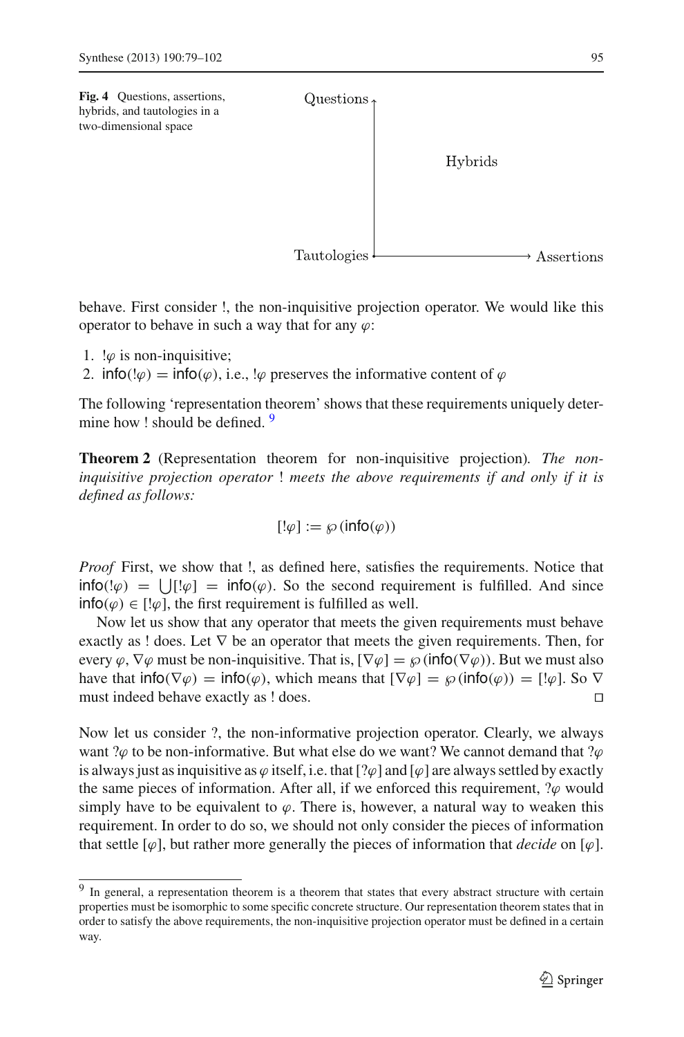<span id="page-17-0"></span>

behave. First consider !, the non-inquisitive projection operator. We would like this operator to behave in such a way that for any  $\varphi$ :

- 1.  $\varphi$  is non-inquisitive;
- 2. info(! $\varphi$ ) = info( $\varphi$ ), i.e., ! $\varphi$  preserves the informative content of  $\varphi$

The following 'representation theorem' shows that these requirements uniquely deter-mine how ! should be defined. [9](#page-17-1)

**Theorem 2** (Representation theorem for non-inquisitive projection)*. The noninquisitive projection operator* ! *meets the above requirements if and only if it is defined as follows:*

$$
[!\varphi] := \wp(\mathsf{info}(\varphi))
$$

*Proof* First, we show that !, as defined here, satisfies the requirements. Notice that  $\text{info}(\phi) = \bigcup [\phi] = \text{info}(\phi)$ . So the second requirement is fulfilled. And since  $\mathsf{info}(\varphi) \in [\varphi]$ , the first requirement is fulfilled as well.

Now let us show that any operator that meets the given requirements must behave exactly as ! does. Let  $\nabla$  be an operator that meets the given requirements. Then, for every  $\varphi$ ,  $\nabla \varphi$  must be non-inquisitive. That is,  $[\nabla \varphi] = \varphi$  (info $(\nabla \varphi)$ ). But we must also have that  $\text{info}(\nabla \varphi) = \text{info}(\varphi)$ , which means that  $[\nabla \varphi] = \varphi(\text{info}(\varphi)) = [\varphi]$ . So  $\nabla$ must indeed behave exactly as ! does.

Now let us consider ?, the non-informative projection operator. Clearly, we always want ? $\varphi$  to be non-informative. But what else do we want? We cannot demand that ? $\varphi$ is always just as inquisitive as  $\varphi$  itself, i.e. that  $[? \varphi]$  and  $[\varphi]$  are always settled by exactly the same pieces of information. After all, if we enforced this requirement,  $\partial \varphi$  would simply have to be equivalent to  $\varphi$ . There is, however, a natural way to weaken this requirement. In order to do so, we should not only consider the pieces of information that settle  $[\varphi]$ , but rather more generally the pieces of information that *decide* on  $[\varphi]$ .

<span id="page-17-1"></span><sup>&</sup>lt;sup>9</sup> In general, a representation theorem is a theorem that states that every abstract structure with certain properties must be isomorphic to some specific concrete structure. Our representation theorem states that in order to satisfy the above requirements, the non-inquisitive projection operator must be defined in a certain way.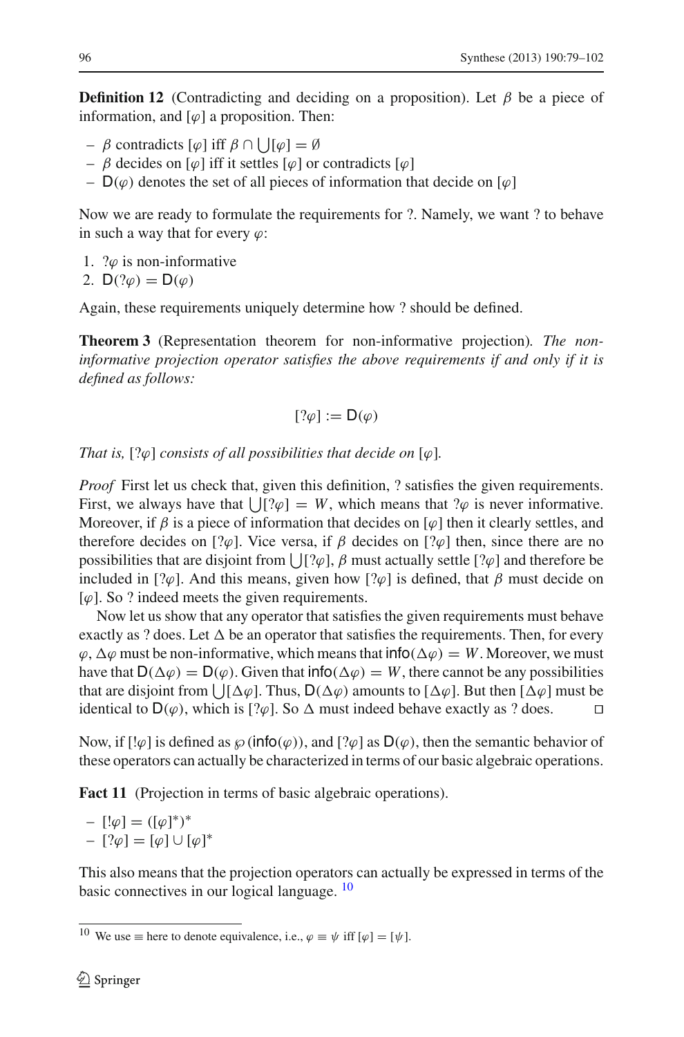**Definition 12** (Contradicting and deciding on a proposition). Let  $\beta$  be a piece of information, and  $\lceil \varphi \rceil$  a proposition. Then:

- $\beta$  contradicts  $[\varphi]$  iff  $\beta \cap \bigcup [\varphi] = \emptyset$
- β decides on [ $\varphi$ ] iff it settles [ $\varphi$ ] or contradicts [ $\varphi$ ]
- $D(\varphi)$  denotes the set of all pieces of information that decide on  $\lceil \varphi \rceil$

Now we are ready to formulate the requirements for ?. Namely, we want ? to behave in such a way that for every  $\varphi$ :

- 1.  $\%$  is non-informative
- 2.  $D(?\varphi) = D(\varphi)$

Again, these requirements uniquely determine how ? should be defined.

**Theorem 3** (Representation theorem for non-informative projection)*. The noninformative projection operator satisfies the above requirements if and only if it is defined as follows:*

$$
[?\varphi]:= \mathsf{D}(\varphi)
$$

*That is,* [? $\varphi$ ] *consists of all possibilities that decide on* [ $\varphi$ ].

*Proof* First let us check that, given this definition, ? satisfies the given requirements. First, we always have that  $\bigcup [? \varphi] = W$ , which means that  $? \varphi$  is never informative. Moreover, if  $\beta$  is a piece of information that decides on [ $\varphi$ ] then it clearly settles, and therefore decides on [? $\varphi$ ]. Vice versa, if  $\beta$  decides on [? $\varphi$ ] then, since there are no possibilities that are disjoint from  $\bigcup [? \varphi]$ ,  $\beta$  must actually settle  $[? \varphi]$  and therefore be included in [? $\varphi$ ]. And this means, given how [? $\varphi$ ] is defined, that  $\beta$  must decide on  $[\varphi]$ . So ? indeed meets the given requirements.

Now let us show that any operator that satisfies the given requirements must behave exactly as ? does. Let  $\Delta$  be an operator that satisfies the requirements. Then, for every  $\varphi$ ,  $\Delta \varphi$  must be non-informative, which means that info( $\Delta \varphi$ ) = W. Moreover, we must have that  $D(\Delta \varphi) = D(\varphi)$ . Given that  $\text{info}(\Delta \varphi) = W$ , there cannot be any possibilities that are disjoint from  $\bigcup [\Delta \varphi]$ . Thus,  $D(\Delta \varphi)$  amounts to  $[\Delta \varphi]$ . But then  $[\Delta \varphi]$  must be identical to  $D(\varphi)$ , which is  $[? \varphi]$ . So  $\Delta$  must indeed behave exactly as ? does.  $\square$ 

Now, if  $[! \varphi]$  is defined as  $\varphi$  (info( $\varphi$ )), and  $[? \varphi]$  as  $D(\varphi)$ , then the semantic behavior of these operators can actually be characterized in terms of our basic algebraic operations.

Fact 11 (Projection in terms of basic algebraic operations).

 $-[!\varphi] = ([\varphi]^*)^*$  $-[?\varphi] = [\varphi] \cup [\varphi]^*$ 

This also means that the projection operators can actually be expressed in terms of the basic connectives in our logical language. <sup>[10](#page-18-0)</sup>

<span id="page-18-0"></span><sup>&</sup>lt;sup>10</sup> We use ≡ here to denote equivalence, i.e.,  $\varphi \equiv \psi$  iff  $[\varphi] = [\psi]$ .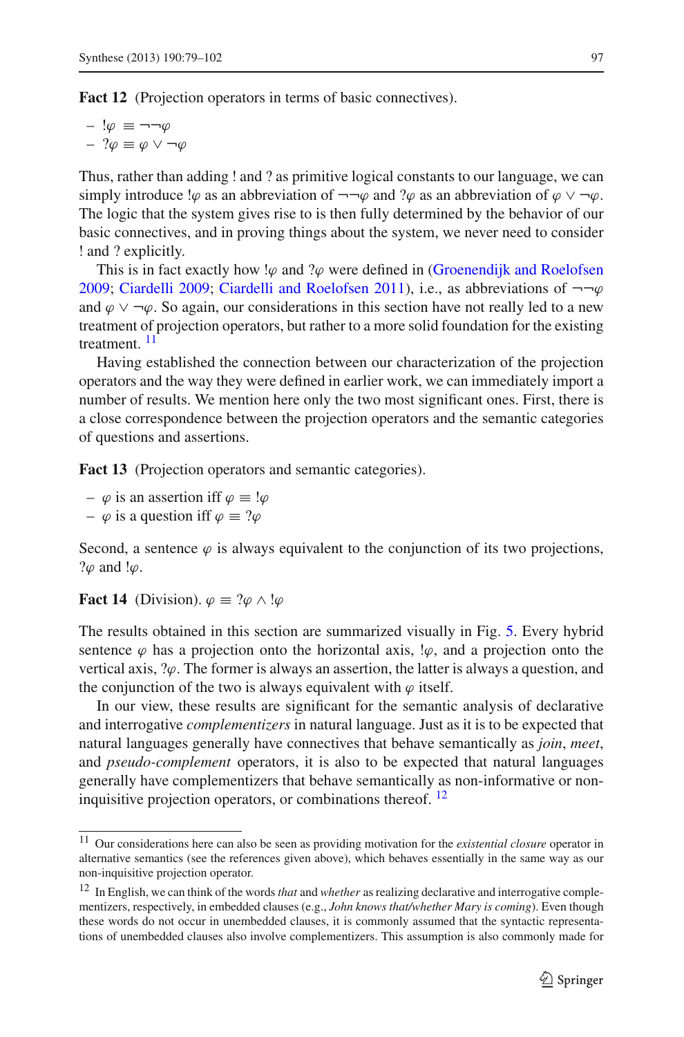Fact 12 (Projection operators in terms of basic connectives).

$$
- \ \vdots \varphi \equiv \neg \neg \varphi
$$

$$
- \ ?\varphi \equiv \varphi \lor \neg \varphi
$$

Thus, rather than adding ! and ? as primitive logical constants to our language, we can simply introduce ! $\varphi$  as an abbreviation of  $\neg\neg\varphi$  and ? $\varphi$  as an abbreviation of  $\varphi \lor \neg\varphi$ . The logic that the system gives rise to is then fully determined by the behavior of our basic connectives, and in proving things about the system, we never need to consider ! and ? explicitly.

This is in fact exactly how  $\varphi$  and  $\varphi$  were defined in [\(Groenendijk and Roelofsen](#page-24-2) [2009;](#page-24-2) [Ciardelli 2009;](#page-23-0) [Ciardelli and Roelofsen 2011](#page-24-3)), i.e., as abbreviations of  $\neg\neg\varphi$ and  $\varphi \vee \neg \varphi$ . So again, our considerations in this section have not really led to a new treatment of projection operators, but rather to a more solid foundation for the existing treatment. [11](#page-19-0)

Having established the connection between our characterization of the projection operators and the way they were defined in earlier work, we can immediately import a number of results. We mention here only the two most significant ones. First, there is a close correspondence between the projection operators and the semantic categories of questions and assertions.

Fact 13 (Projection operators and semantic categories).

- $\varphi$  is an assertion iff  $\varphi \equiv \varphi$
- $\varphi$  is a question iff  $\varphi \equiv ?\varphi$

Second, a sentence  $\varphi$  is always equivalent to the conjunction of its two projections, ? $\varphi$  and ! $\varphi$ .

**Fact 14** (Division).  $\varphi \equiv ?\varphi \wedge !\varphi$ 

The results obtained in this section are summarized visually in Fig. [5.](#page-20-0) Every hybrid sentence  $\varphi$  has a projection onto the horizontal axis,  $\varphi$ , and a projection onto the vertical axis,  $\varphi$ . The former is always an assertion, the latter is always a question, and the conjunction of the two is always equivalent with  $\varphi$  itself.

In our view, these results are significant for the semantic analysis of declarative and interrogative *complementizers* in natural language. Just as it is to be expected that natural languages generally have connectives that behave semantically as *join*, *meet*, and *pseudo-complement* operators, it is also to be expected that natural languages generally have complementizers that behave semantically as non-informative or noninquisitive projection operators, or combinations thereof.  $^{12}$  $^{12}$  $^{12}$ 

<span id="page-19-0"></span><sup>11</sup> Our considerations here can also be seen as providing motivation for the *existential closure* operator in alternative semantics (see the references given above), which behaves essentially in the same way as our non-inquisitive projection operator.

<span id="page-19-1"></span><sup>12</sup> In English, we can think of the words*that* and *whether* as realizing declarative and interrogative complementizers, respectively, in embedded clauses (e.g., *John knows that/whether Mary is coming*). Even though these words do not occur in unembedded clauses, it is commonly assumed that the syntactic representations of unembedded clauses also involve complementizers. This assumption is also commonly made for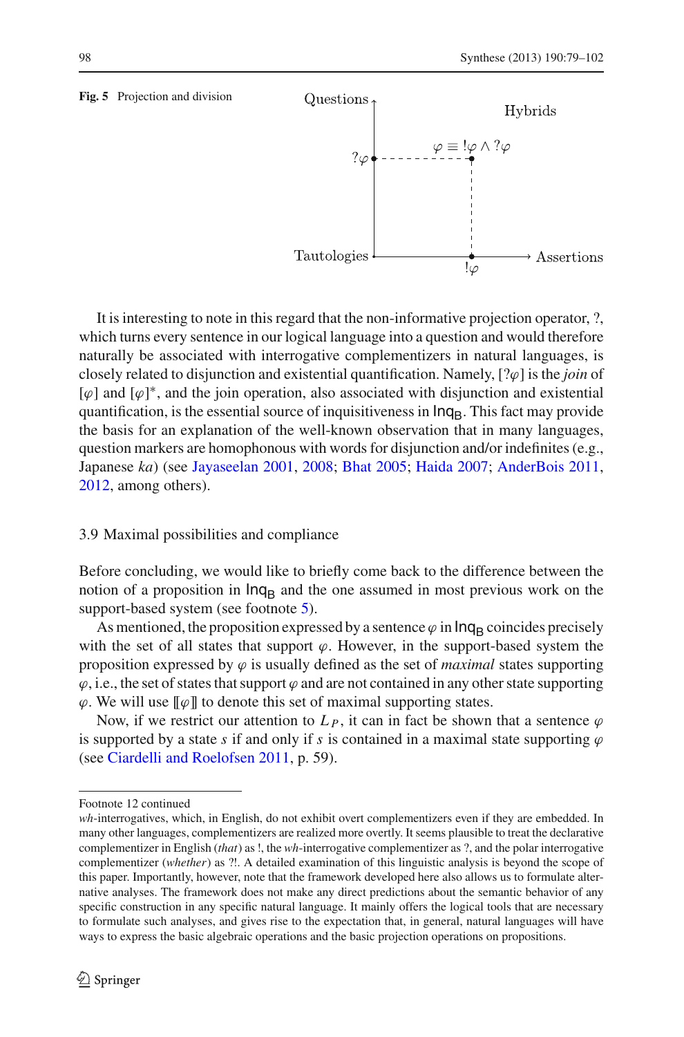<span id="page-20-0"></span>

It is interesting to note in this regard that the non-informative projection operator, ?, which turns every sentence in our logical language into a question and would therefore naturally be associated with interrogative complementizers in natural languages, is closely related to disjunction and existential quantification. Namely, [?ϕ] is the *join* of  $[\varphi]$  and  $[\varphi]^*$ , and the join operation, also associated with disjunction and existential quantification, is the essential source of inquisitiveness in  $\text{Inq}_B$ . This fact may provide the basis for an explanation of the well-known observation that in many languages, question markers are homophonous with words for disjunction and/or indefinites (e.g., Japanese *ka*) (see [Jayaseelan 2001](#page-24-21), [2008](#page-24-22); [Bhat 2005;](#page-23-9) [Haida 2007;](#page-24-23) [AnderBois 2011,](#page-23-10) [2012,](#page-23-11) among others).

#### 3.9 Maximal possibilities and compliance

Before concluding, we would like to briefly come back to the difference between the notion of a proposition in  $\text{Inq}_B$  and the one assumed in most previous work on the support-based system (see footnote [5\)](#page-13-0).

As mentioned, the proposition expressed by a sentence  $\varphi$  in  $\text{Inq}_{\mathsf{B}}$  coincides precisely with the set of all states that support  $\varphi$ . However, in the support-based system the proposition expressed by  $\varphi$  is usually defined as the set of *maximal* states supporting  $\varphi$ , i.e., the set of states that support  $\varphi$  and are not contained in any other state supporting  $\varphi$ . We will use  $\llbracket \varphi \rrbracket$  to denote this set of maximal supporting states.

Now, if we restrict our attention to  $L<sub>P</sub>$ , it can in fact be shown that a sentence  $\varphi$ is supported by a state *s* if and only if *s* is contained in a maximal state supporting  $\varphi$ (see [Ciardelli and Roelofsen 2011](#page-24-3), p. 59).

Footnote 12 continued

*wh*-interrogatives, which, in English, do not exhibit overt complementizers even if they are embedded. In many other languages, complementizers are realized more overtly. It seems plausible to treat the declarative complementizer in English (*that*) as !, the *wh*-interrogative complementizer as ?, and the polar interrogative complementizer (*whether*) as ?!. A detailed examination of this linguistic analysis is beyond the scope of this paper. Importantly, however, note that the framework developed here also allows us to formulate alternative analyses. The framework does not make any direct predictions about the semantic behavior of any specific construction in any specific natural language. It mainly offers the logical tools that are necessary to formulate such analyses, and gives rise to the expectation that, in general, natural languages will have ways to express the basic algebraic operations and the basic projection operations on propositions.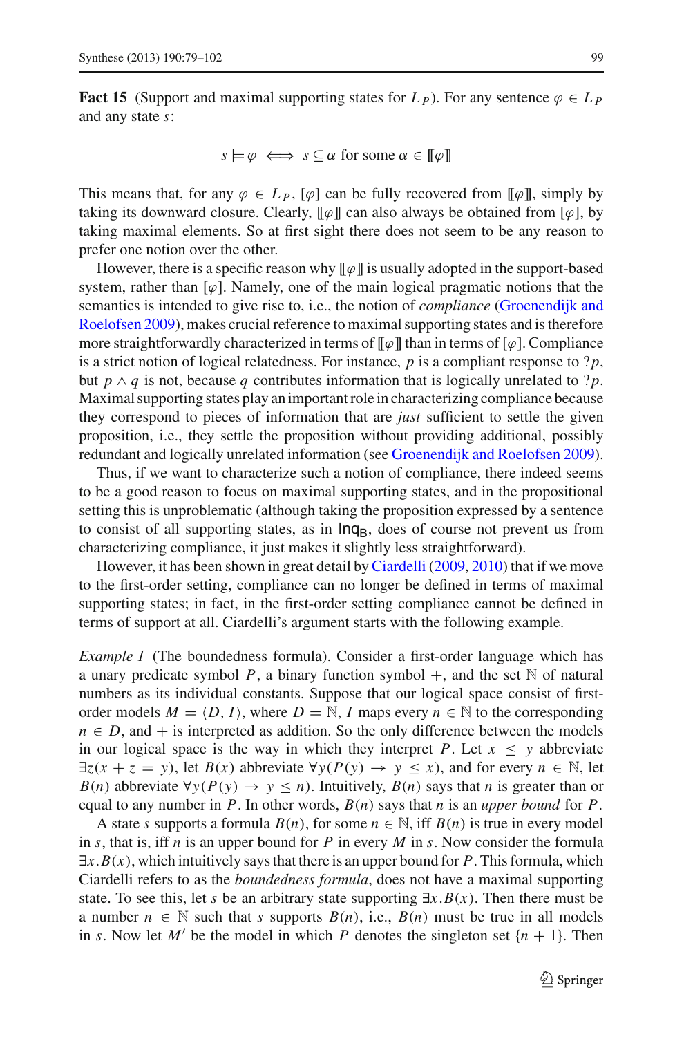**Fact 15** (Support and maximal supporting states for  $L_p$ ). For any sentence  $\varphi \in L_p$ and any state *s*:

$$
s \models \varphi \iff s \subseteq \alpha \text{ for some } \alpha \in [\![\varphi]\!]
$$

This means that, for any  $\varphi \in L_P$ ,  $[\varphi]$  can be fully recovered from  $[\varphi]$ , simply by taking its downward closure. Clearly,  $[\![\varphi]\!]$  can also always be obtained from  $[\varphi]$ , by taking maximal elements. So at first sight there does not seem to be any reason to prefer one notion over the other.

However, there is a specific reason why  $\llbracket \varphi \rrbracket$  is usually adopted in the support-based system, rather than  $[\varphi]$ . Namely, one of the main logical pragmatic notions that the semantics [is](#page-24-2) [intended](#page-24-2) [to](#page-24-2) [give](#page-24-2) [rise](#page-24-2) [to,](#page-24-2) [i.e.,](#page-24-2) [the](#page-24-2) [notion](#page-24-2) [of](#page-24-2) *compliance* (Groenendijk and Roelofsen [2009\)](#page-24-2), makes crucial reference to maximal supporting states and is therefore more straightforwardly characterized in terms of  $\llbracket \varphi \rrbracket$  than in terms of  $\llbracket \varphi \rrbracket$ . Compliance is a strict notion of logical relatedness. For instance,  $p$  is a compliant response to  $?p$ , but  $p \wedge q$  is not, because q contributes information that is logically unrelated to ?*p*. Maximal supporting states play an important role in characterizing compliance because they correspond to pieces of information that are *just* sufficient to settle the given proposition, i.e., they settle the proposition without providing additional, possibly redundant and logically unrelated information (see [Groenendijk and Roelofsen 2009](#page-24-2)).

Thus, if we want to characterize such a notion of compliance, there indeed seems to be a good reason to focus on maximal supporting states, and in the propositional setting this is unproblematic (although taking the proposition expressed by a sentence to consist of all supporting states, as in  $Inq_B$ , does of course not prevent us from characterizing compliance, it just makes it slightly less straightforward).

However, it has been shown in great detail by [Ciardelli](#page-23-0) [\(2009,](#page-23-0) [2010](#page-23-12)) that if we move to the first-order setting, compliance can no longer be defined in terms of maximal supporting states; in fact, in the first-order setting compliance cannot be defined in terms of support at all. Ciardelli's argument starts with the following example.

*Example 1* (The boundedness formula). Consider a first-order language which has a unary predicate symbol  $P$ , a binary function symbol  $+$ , and the set  $\mathbb N$  of natural numbers as its individual constants. Suppose that our logical space consist of firstorder models  $M = \langle D, I \rangle$ , where  $D = \mathbb{N}$ , *I* maps every  $n \in \mathbb{N}$  to the corresponding  $n \in D$ , and  $+$  is interpreted as addition. So the only difference between the models in our logical space is the way in which they interpret *P*. Let  $x \leq y$  abbreviate  $\exists z(x + z = y)$ , let  $B(x)$  abbreviate  $\forall y(P(y) \rightarrow y \leq x)$ , and for every  $n \in \mathbb{N}$ , let *B*(*n*) abbreviate  $\forall y(P(y) \rightarrow y \leq n)$ . Intuitively, *B*(*n*) says that *n* is greater than or equal to any number in *P*. In other words, *B*(*n*) says that *n* is an *upper bound* for *P*.

A state *s* supports a formula  $B(n)$ , for some  $n \in \mathbb{N}$ , iff  $B(n)$  is true in every model in *s*, that is, iff *n* is an upper bound for *P* in every *M* in *s*. Now consider the formula ∃*x*.*B*(*x*), which intuitively says that there is an upper bound for *P*. This formula, which Ciardelli refers to as the *boundedness formula*, does not have a maximal supporting state. To see this, let *s* be an arbitrary state supporting  $\exists x . B(x)$ . Then there must be a number  $n \in \mathbb{N}$  such that *s* supports  $B(n)$ , i.e.,  $B(n)$  must be true in all models in *s*. Now let *M'* be the model in which *P* denotes the singleton set  $\{n + 1\}$ . Then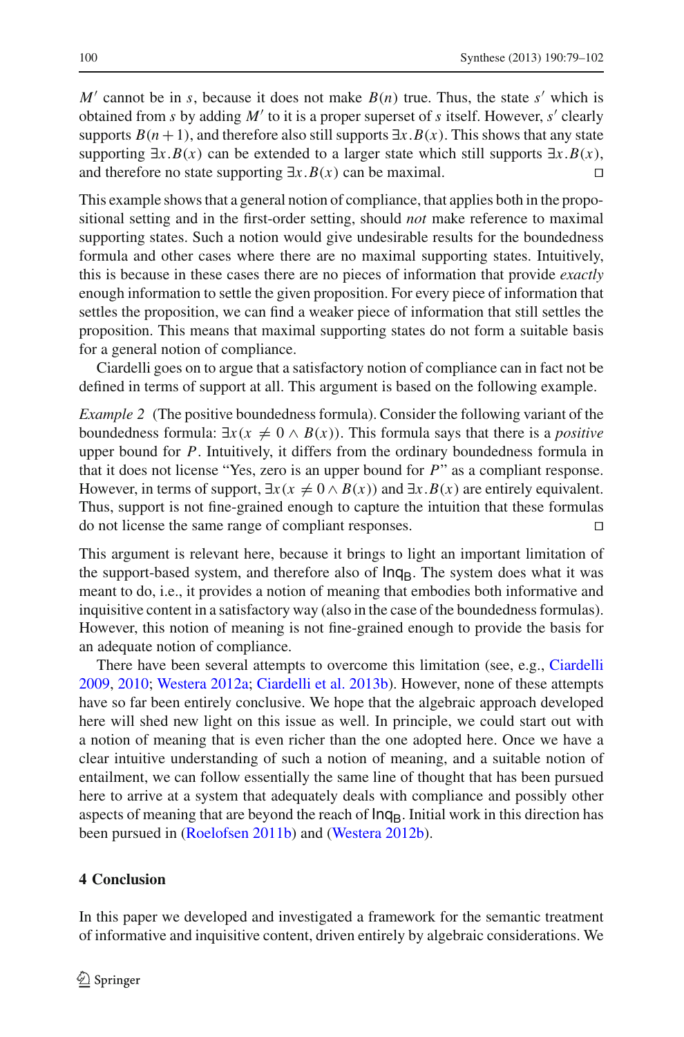$M'$  cannot be in *s*, because it does not make  $B(n)$  true. Thus, the state  $s'$  which is obtained from *s* by adding  $M'$  to it is a proper superset of *s* itself. However,  $s'$  clearly supports  $B(n+1)$ , and therefore also still supports  $\exists x . B(x)$ . This shows that any state supporting  $\exists x . B(x)$  can be extended to a larger state which still supports  $\exists x . B(x)$ , and therefore no state supporting  $\exists x. B(x)$  can be maximal.

This example shows that a general notion of compliance, that applies both in the propositional setting and in the first-order setting, should *not* make reference to maximal supporting states. Such a notion would give undesirable results for the boundedness formula and other cases where there are no maximal supporting states. Intuitively, this is because in these cases there are no pieces of information that provide *exactly* enough information to settle the given proposition. For every piece of information that settles the proposition, we can find a weaker piece of information that still settles the proposition. This means that maximal supporting states do not form a suitable basis for a general notion of compliance.

Ciardelli goes on to argue that a satisfactory notion of compliance can in fact not be defined in terms of support at all. This argument is based on the following example.

*Example 2* (The positive boundedness formula). Consider the following variant of the boundedness formula:  $\exists x (x \neq 0 \land B(x))$ . This formula says that there is a *positive* upper bound for *P*. Intuitively, it differs from the ordinary boundedness formula in that it does not license "Yes, zero is an upper bound for *P*" as a compliant response. However, in terms of support,  $\exists x(x \neq 0 \land B(x))$  and  $\exists x.B(x)$  are entirely equivalent. Thus, support is not fine-grained enough to capture the intuition that these formulas do not license the same range of compliant responses.

This argument is relevant here, because it brings to light an important limitation of the support-based system, and therefore also of  $\text{Inq}_B$ . The system does what it was meant to do, i.e., it provides a notion of meaning that embodies both informative and inquisitive content in a satisfactory way (also in the case of the boundedness formulas). However, this notion of meaning is not fine-grained enough to provide the basis for an adequate notion of compliance.

There have been several attempts to overcome this limitation (see, e.g., [Ciardelli](#page-23-0) [2009,](#page-23-0) [2010;](#page-23-12) [Westera 2012a;](#page-24-24) [Ciardelli et al. 2013b](#page-24-25)). However, none of these attempts have so far been entirely conclusive. We hope that the algebraic approach developed here will shed new light on this issue as well. In principle, we could start out with a notion of meaning that is even richer than the one adopted here. Once we have a clear intuitive understanding of such a notion of meaning, and a suitable notion of entailment, we can follow essentially the same line of thought that has been pursued here to arrive at a system that adequately deals with compliance and possibly other aspects of meaning that are beyond the reach of  $\text{Inq}_B$ . Initial work in this direction has been pursued in [\(Roelofsen 2011b](#page-24-19)) and [\(Westera 2012b\)](#page-24-20).

#### <span id="page-22-0"></span>**4 Conclusion**

In this paper we developed and investigated a framework for the semantic treatment of informative and inquisitive content, driven entirely by algebraic considerations. We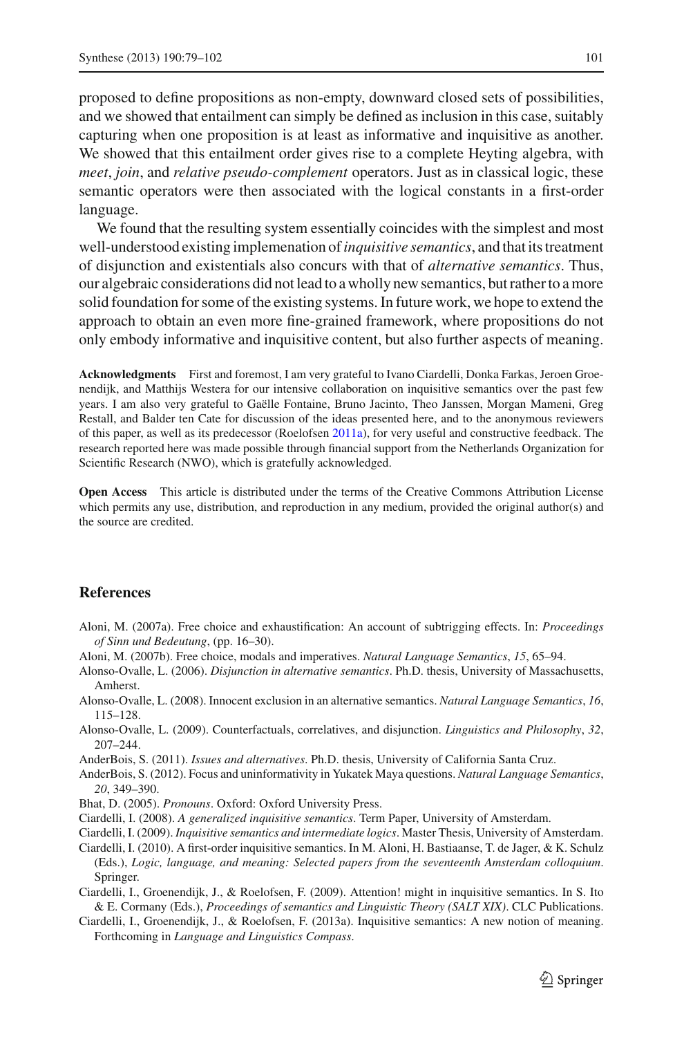proposed to define propositions as non-empty, downward closed sets of possibilities, and we showed that entailment can simply be defined as inclusion in this case, suitably capturing when one proposition is at least as informative and inquisitive as another. We showed that this entailment order gives rise to a complete Heyting algebra, with *meet*, *join*, and *relative pseudo-complement* operators. Just as in classical logic, these semantic operators were then associated with the logical constants in a first-order language.

We found that the resulting system essentially coincides with the simplest and most well-understood existing implemenation of*inquisitive semantics*, and that its treatment of disjunction and existentials also concurs with that of *alternative semantics*. Thus, our algebraic considerations did not lead to a wholly new semantics, but rather to a more solid foundation for some of the existing systems. In future work, we hope to extend the approach to obtain an even more fine-grained framework, where propositions do not only embody informative and inquisitive content, but also further aspects of meaning.

**Acknowledgments** First and foremost, I am very grateful to Ivano Ciardelli, Donka Farkas, Jeroen Groenendijk, and Matthijs Westera for our intensive collaboration on inquisitive semantics over the past few years. I am also very grateful to Gaëlle Fontaine, Bruno Jacinto, Theo Janssen, Morgan Mameni, Greg Restall, and Balder ten Cate for discussion of the ideas presented here, and to the anonymous reviewers of this paper, as well as its predecessor (Roelofsen [2011a](#page-24-26)), for very useful and constructive feedback. The research reported here was made possible through financial support from the Netherlands Organization for Scientific Research (NWO), which is gratefully acknowledged.

**Open Access** This article is distributed under the terms of the Creative Commons Attribution License which permits any use, distribution, and reproduction in any medium, provided the original author(s) and the source are credited.

#### **References**

- <span id="page-23-4"></span>Aloni, M. (2007a). Free choice and exhaustification: An account of subtrigging effects. In: *Proceedings of Sinn und Bedeutung*, (pp. 16–30).
- <span id="page-23-5"></span>Aloni, M. (2007b). Free choice, modals and imperatives. *Natural Language Semantics*, *15*, 65–94.
- <span id="page-23-1"></span>Alonso-Ovalle, L. (2006). *Disjunction in alternative semantics*. Ph.D. thesis, University of Massachusetts, Amherst.
- <span id="page-23-2"></span>Alonso-Ovalle, L. (2008). Innocent exclusion in an alternative semantics. *Natural Language Semantics*, *16*, 115–128.
- <span id="page-23-3"></span>Alonso-Ovalle, L. (2009). Counterfactuals, correlatives, and disjunction. *Linguistics and Philosophy*, *32*, 207–244.
- <span id="page-23-10"></span>AnderBois, S. (2011). *Issues and alternatives*. Ph.D. thesis, University of California Santa Cruz.
- <span id="page-23-11"></span>AnderBois, S. (2012). Focus and uninformativity in Yukatek Maya questions. *Natural Language Semantics*, *20*, 349–390.
- <span id="page-23-9"></span>Bhat, D. (2005). *Pronouns*. Oxford: Oxford University Press.
- <span id="page-23-7"></span>Ciardelli, I. (2008). *A generalized inquisitive semantics*. Term Paper, University of Amsterdam.
- <span id="page-23-0"></span>Ciardelli, I. (2009). *Inquisitive semantics and intermediate logics*. Master Thesis, University of Amsterdam.
- <span id="page-23-12"></span>Ciardelli, I. (2010). A first-order inquisitive semantics. In M. Aloni, H. Bastiaanse, T. de Jager, & K. Schulz (Eds.), *Logic, language, and meaning: Selected papers from the seventeenth Amsterdam colloquium*. Springer.
- <span id="page-23-8"></span>Ciardelli, I., Groenendijk, J., & Roelofsen, F. (2009). Attention! might in inquisitive semantics. In S. Ito & E. Cormany (Eds.), *Proceedings of semantics and Linguistic Theory (SALT XIX)*. CLC Publications.
- <span id="page-23-6"></span>Ciardelli, I., Groenendijk, J., & Roelofsen, F. (2013a). Inquisitive semantics: A new notion of meaning. Forthcoming in *Language and Linguistics Compass*.